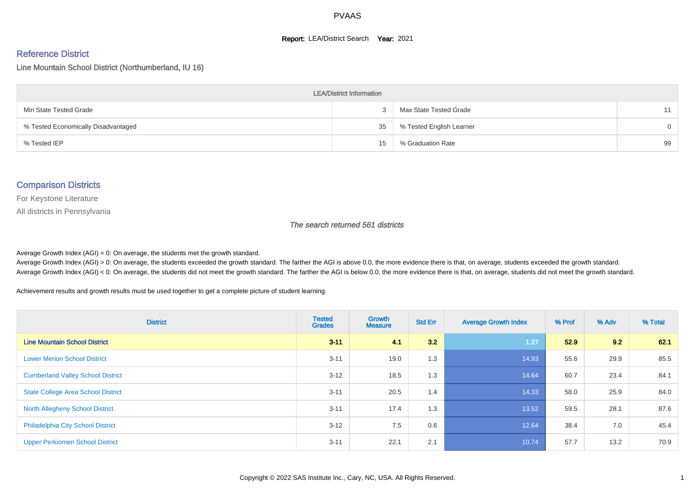#### **Report: LEA/District Search Year: 2021**

#### Reference District

Line Mountain School District (Northumberland, IU 16)

| <b>LEA/District Information</b>     |    |                          |          |  |  |  |  |  |  |  |
|-------------------------------------|----|--------------------------|----------|--|--|--|--|--|--|--|
| Min State Tested Grade              |    | Max State Tested Grade   | 11       |  |  |  |  |  |  |  |
| % Tested Economically Disadvantaged | 35 | % Tested English Learner | $\Omega$ |  |  |  |  |  |  |  |
| % Tested IEP                        | 15 | % Graduation Rate        | 99       |  |  |  |  |  |  |  |

#### Comparison Districts

For Keystone Literature

All districts in Pennsylvania

The search returned 561 districts

Average Growth Index  $(AGI) = 0$ : On average, the students met the growth standard.

Average Growth Index (AGI) > 0: On average, the students exceeded the growth standard. The farther the AGI is above 0.0, the more evidence there is that, on average, students exceeded the growth standard. Average Growth Index (AGI) < 0: On average, the students did not meet the growth standard. The farther the AGI is below 0.0, the more evidence there is that, on average, students did not meet the growth standard.

Achievement results and growth results must be used together to get a complete picture of student learning.

| <b>District</b>                           | <b>Tested</b><br><b>Grades</b> | Growth<br><b>Measure</b> | <b>Std Err</b> | <b>Average Growth Index</b> | % Prof | % Adv | % Total |
|-------------------------------------------|--------------------------------|--------------------------|----------------|-----------------------------|--------|-------|---------|
| <b>Line Mountain School District</b>      | $3 - 11$                       | 41                       | 3.2            | 1.27                        | 52.9   | 9.2   | 62.1    |
| <b>Lower Merion School District</b>       | $3 - 11$                       | 19.0                     | 1.3            | 14.93                       | 55.6   | 29.9  | 85.5    |
| <b>Cumberland Valley School District</b>  | $3 - 12$                       | 18.5                     | 1.3            | 14.64                       | 60.7   | 23.4  | 84.1    |
| <b>State College Area School District</b> | $3 - 11$                       | 20.5                     | 1.4            | 14.33                       | 58.0   | 25.9  | 84.0    |
| <b>North Allegheny School District</b>    | $3 - 11$                       | 17.4                     | 1.3            | 13.52                       | 59.5   | 28.1  | 87.6    |
| <b>Philadelphia City School District</b>  | $3 - 12$                       | 7.5                      | 0.6            | 12.64                       | 38.4   | 7.0   | 45.4    |
| <b>Upper Perkiomen School District</b>    | $3 - 11$                       | 22.1                     | 2.1            | 10.74                       | 57.7   | 13.2  | 70.9    |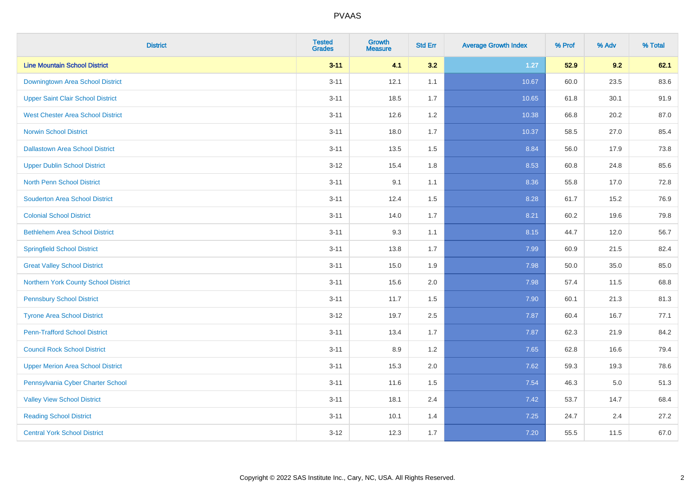| <b>District</b>                          | <b>Tested</b><br><b>Grades</b> | <b>Growth</b><br><b>Measure</b> | <b>Std Err</b> | <b>Average Growth Index</b> | % Prof | % Adv   | % Total |
|------------------------------------------|--------------------------------|---------------------------------|----------------|-----------------------------|--------|---------|---------|
| <b>Line Mountain School District</b>     | $3 - 11$                       | 4.1                             | 3.2            | $1.27$                      | 52.9   | 9.2     | 62.1    |
| Downingtown Area School District         | $3 - 11$                       | 12.1                            | 1.1            | 10.67                       | 60.0   | 23.5    | 83.6    |
| <b>Upper Saint Clair School District</b> | $3 - 11$                       | 18.5                            | 1.7            | 10.65                       | 61.8   | 30.1    | 91.9    |
| <b>West Chester Area School District</b> | $3 - 11$                       | 12.6                            | 1.2            | 10.38                       | 66.8   | 20.2    | 87.0    |
| <b>Norwin School District</b>            | $3 - 11$                       | 18.0                            | 1.7            | 10.37                       | 58.5   | 27.0    | 85.4    |
| <b>Dallastown Area School District</b>   | $3 - 11$                       | 13.5                            | 1.5            | 8.84                        | 56.0   | 17.9    | 73.8    |
| <b>Upper Dublin School District</b>      | $3 - 12$                       | 15.4                            | 1.8            | 8.53                        | 60.8   | 24.8    | 85.6    |
| <b>North Penn School District</b>        | $3 - 11$                       | 9.1                             | 1.1            | 8.36                        | 55.8   | 17.0    | 72.8    |
| <b>Souderton Area School District</b>    | $3 - 11$                       | 12.4                            | 1.5            | 8.28                        | 61.7   | 15.2    | 76.9    |
| <b>Colonial School District</b>          | $3 - 11$                       | 14.0                            | 1.7            | 8.21                        | 60.2   | 19.6    | 79.8    |
| <b>Bethlehem Area School District</b>    | $3 - 11$                       | 9.3                             | 1.1            | 8.15                        | 44.7   | 12.0    | 56.7    |
| <b>Springfield School District</b>       | $3 - 11$                       | 13.8                            | 1.7            | 7.99                        | 60.9   | 21.5    | 82.4    |
| <b>Great Valley School District</b>      | $3 - 11$                       | 15.0                            | 1.9            | 7.98                        | 50.0   | 35.0    | 85.0    |
| Northern York County School District     | $3 - 11$                       | 15.6                            | 2.0            | 7.98                        | 57.4   | 11.5    | 68.8    |
| <b>Pennsbury School District</b>         | $3 - 11$                       | 11.7                            | 1.5            | 7.90                        | 60.1   | 21.3    | 81.3    |
| <b>Tyrone Area School District</b>       | $3 - 12$                       | 19.7                            | 2.5            | 7.87                        | 60.4   | 16.7    | 77.1    |
| <b>Penn-Trafford School District</b>     | $3 - 11$                       | 13.4                            | 1.7            | 7.87                        | 62.3   | 21.9    | 84.2    |
| <b>Council Rock School District</b>      | $3 - 11$                       | 8.9                             | 1.2            | 7.65                        | 62.8   | 16.6    | 79.4    |
| <b>Upper Merion Area School District</b> | $3 - 11$                       | 15.3                            | 2.0            | 7.62                        | 59.3   | 19.3    | 78.6    |
| Pennsylvania Cyber Charter School        | $3 - 11$                       | 11.6                            | 1.5            | 7.54                        | 46.3   | $5.0\,$ | 51.3    |
| <b>Valley View School District</b>       | $3 - 11$                       | 18.1                            | 2.4            | 7.42                        | 53.7   | 14.7    | 68.4    |
| <b>Reading School District</b>           | $3 - 11$                       | 10.1                            | 1.4            | 7.25                        | 24.7   | 2.4     | 27.2    |
| <b>Central York School District</b>      | $3 - 12$                       | 12.3                            | 1.7            | 7.20                        | 55.5   | 11.5    | 67.0    |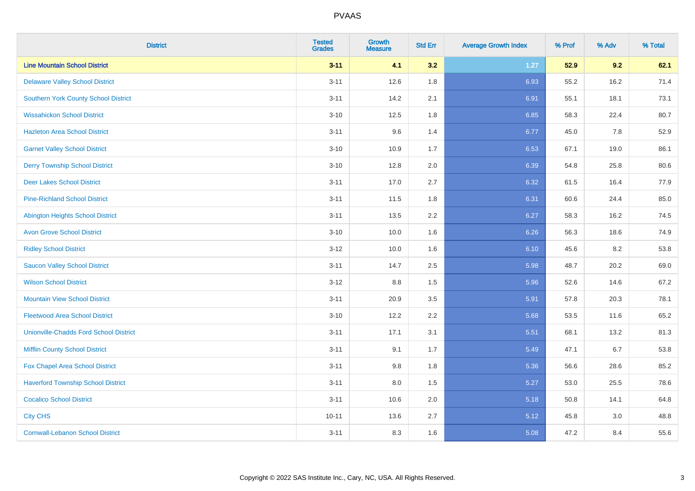| <b>District</b>                               | <b>Tested</b><br><b>Grades</b> | <b>Growth</b><br><b>Measure</b> | <b>Std Err</b> | <b>Average Growth Index</b> | % Prof | % Adv | % Total |
|-----------------------------------------------|--------------------------------|---------------------------------|----------------|-----------------------------|--------|-------|---------|
| <b>Line Mountain School District</b>          | $3 - 11$                       | 4.1                             | 3.2            | $1.27$                      | 52.9   | 9.2   | 62.1    |
| <b>Delaware Valley School District</b>        | $3 - 11$                       | 12.6                            | 1.8            | 6.93                        | 55.2   | 16.2  | 71.4    |
| <b>Southern York County School District</b>   | $3 - 11$                       | 14.2                            | 2.1            | 6.91                        | 55.1   | 18.1  | 73.1    |
| <b>Wissahickon School District</b>            | $3 - 10$                       | 12.5                            | 1.8            | 6.85                        | 58.3   | 22.4  | 80.7    |
| <b>Hazleton Area School District</b>          | $3 - 11$                       | 9.6                             | 1.4            | 6.77                        | 45.0   | 7.8   | 52.9    |
| <b>Garnet Valley School District</b>          | $3 - 10$                       | 10.9                            | 1.7            | 6.53                        | 67.1   | 19.0  | 86.1    |
| <b>Derry Township School District</b>         | $3 - 10$                       | 12.8                            | 2.0            | 6.39                        | 54.8   | 25.8  | 80.6    |
| <b>Deer Lakes School District</b>             | $3 - 11$                       | 17.0                            | 2.7            | 6.32                        | 61.5   | 16.4  | 77.9    |
| <b>Pine-Richland School District</b>          | $3 - 11$                       | 11.5                            | 1.8            | 6.31                        | 60.6   | 24.4  | 85.0    |
| <b>Abington Heights School District</b>       | $3 - 11$                       | 13.5                            | 2.2            | 6.27                        | 58.3   | 16.2  | 74.5    |
| <b>Avon Grove School District</b>             | $3 - 10$                       | 10.0                            | 1.6            | 6.26                        | 56.3   | 18.6  | 74.9    |
| <b>Ridley School District</b>                 | $3 - 12$                       | 10.0                            | 1.6            | 6.10                        | 45.6   | 8.2   | 53.8    |
| <b>Saucon Valley School District</b>          | $3 - 11$                       | 14.7                            | 2.5            | 5.98                        | 48.7   | 20.2  | 69.0    |
| <b>Wilson School District</b>                 | $3 - 12$                       | $8.8\,$                         | 1.5            | 5.96                        | 52.6   | 14.6  | 67.2    |
| <b>Mountain View School District</b>          | $3 - 11$                       | 20.9                            | 3.5            | 5.91                        | 57.8   | 20.3  | 78.1    |
| <b>Fleetwood Area School District</b>         | $3 - 10$                       | 12.2                            | 2.2            | 5.68                        | 53.5   | 11.6  | 65.2    |
| <b>Unionville-Chadds Ford School District</b> | $3 - 11$                       | 17.1                            | 3.1            | 5.51                        | 68.1   | 13.2  | 81.3    |
| <b>Mifflin County School District</b>         | $3 - 11$                       | 9.1                             | 1.7            | 5.49                        | 47.1   | 6.7   | 53.8    |
| Fox Chapel Area School District               | $3 - 11$                       | 9.8                             | 1.8            | 5.36                        | 56.6   | 28.6  | 85.2    |
| <b>Haverford Township School District</b>     | $3 - 11$                       | 8.0                             | 1.5            | 5.27                        | 53.0   | 25.5  | 78.6    |
| <b>Cocalico School District</b>               | $3 - 11$                       | 10.6                            | 2.0            | 5.18                        | 50.8   | 14.1  | 64.8    |
| <b>City CHS</b>                               | $10 - 11$                      | 13.6                            | 2.7            | 5.12                        | 45.8   | 3.0   | 48.8    |
| <b>Cornwall-Lebanon School District</b>       | $3 - 11$                       | 8.3                             | 1.6            | 5.08                        | 47.2   | 8.4   | 55.6    |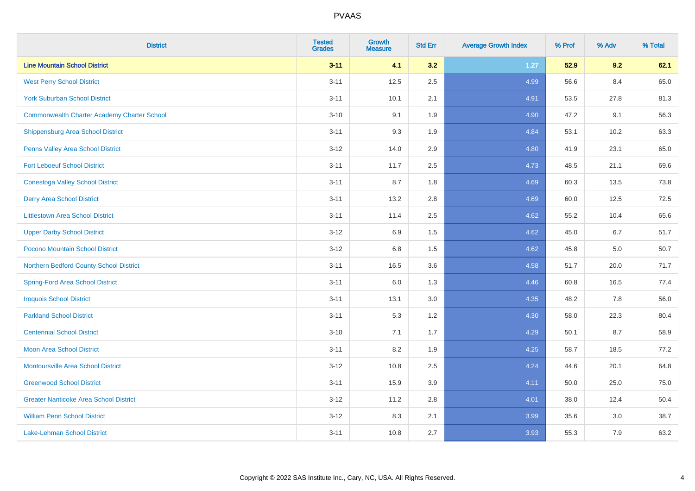| <b>District</b>                                    | <b>Tested</b><br><b>Grades</b> | Growth<br><b>Measure</b> | <b>Std Err</b> | <b>Average Growth Index</b> | % Prof | % Adv | % Total |
|----------------------------------------------------|--------------------------------|--------------------------|----------------|-----------------------------|--------|-------|---------|
| <b>Line Mountain School District</b>               | $3 - 11$                       | 4.1                      | 3.2            | $1.27$                      | 52.9   | 9.2   | 62.1    |
| <b>West Perry School District</b>                  | $3 - 11$                       | 12.5                     | 2.5            | 4.99                        | 56.6   | 8.4   | 65.0    |
| <b>York Suburban School District</b>               | $3 - 11$                       | 10.1                     | 2.1            | 4.91                        | 53.5   | 27.8  | 81.3    |
| <b>Commonwealth Charter Academy Charter School</b> | $3 - 10$                       | 9.1                      | 1.9            | 4.90                        | 47.2   | 9.1   | 56.3    |
| Shippensburg Area School District                  | $3 - 11$                       | 9.3                      | 1.9            | 4.84                        | 53.1   | 10.2  | 63.3    |
| Penns Valley Area School District                  | $3-12$                         | 14.0                     | 2.9            | 4.80                        | 41.9   | 23.1  | 65.0    |
| <b>Fort Leboeuf School District</b>                | $3 - 11$                       | 11.7                     | 2.5            | 4.73                        | 48.5   | 21.1  | 69.6    |
| <b>Conestoga Valley School District</b>            | $3 - 11$                       | 8.7                      | 1.8            | 4.69                        | 60.3   | 13.5  | 73.8    |
| <b>Derry Area School District</b>                  | $3 - 11$                       | 13.2                     | 2.8            | 4.69                        | 60.0   | 12.5  | 72.5    |
| <b>Littlestown Area School District</b>            | $3 - 11$                       | 11.4                     | $2.5\,$        | 4.62                        | 55.2   | 10.4  | 65.6    |
| <b>Upper Darby School District</b>                 | $3 - 12$                       | 6.9                      | 1.5            | 4.62                        | 45.0   | 6.7   | 51.7    |
| Pocono Mountain School District                    | $3 - 12$                       | $6.8\,$                  | 1.5            | 4.62                        | 45.8   | 5.0   | 50.7    |
| Northern Bedford County School District            | $3 - 11$                       | 16.5                     | 3.6            | 4.58                        | 51.7   | 20.0  | 71.7    |
| <b>Spring-Ford Area School District</b>            | $3 - 11$                       | 6.0                      | 1.3            | 4.46                        | 60.8   | 16.5  | 77.4    |
| <b>Iroquois School District</b>                    | $3 - 11$                       | 13.1                     | 3.0            | 4.35                        | 48.2   | 7.8   | 56.0    |
| <b>Parkland School District</b>                    | $3 - 11$                       | 5.3                      | 1.2            | 4.30                        | 58.0   | 22.3  | 80.4    |
| <b>Centennial School District</b>                  | $3 - 10$                       | 7.1                      | 1.7            | 4.29                        | 50.1   | 8.7   | 58.9    |
| <b>Moon Area School District</b>                   | $3 - 11$                       | 8.2                      | 1.9            | 4.25                        | 58.7   | 18.5  | 77.2    |
| <b>Montoursville Area School District</b>          | $3 - 12$                       | 10.8                     | 2.5            | 4.24                        | 44.6   | 20.1  | 64.8    |
| <b>Greenwood School District</b>                   | $3 - 11$                       | 15.9                     | 3.9            | 4.11                        | 50.0   | 25.0  | 75.0    |
| <b>Greater Nanticoke Area School District</b>      | $3 - 12$                       | 11.2                     | 2.8            | 4.01                        | 38.0   | 12.4  | 50.4    |
| <b>William Penn School District</b>                | $3 - 12$                       | 8.3                      | 2.1            | 3.99                        | 35.6   | 3.0   | 38.7    |
| Lake-Lehman School District                        | $3 - 11$                       | 10.8                     | 2.7            | 3.93                        | 55.3   | 7.9   | 63.2    |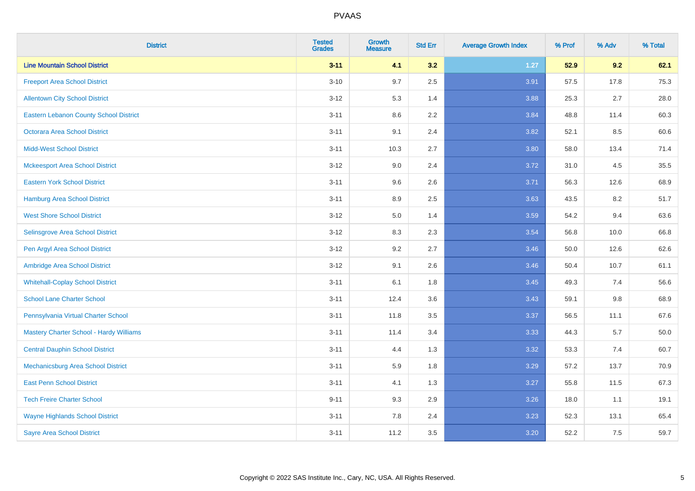| <b>District</b>                         | <b>Tested</b><br><b>Grades</b> | <b>Growth</b><br><b>Measure</b> | <b>Std Err</b> | <b>Average Growth Index</b> | % Prof | % Adv | % Total |
|-----------------------------------------|--------------------------------|---------------------------------|----------------|-----------------------------|--------|-------|---------|
| <b>Line Mountain School District</b>    | $3 - 11$                       | 4.1                             | 3.2            | $1.27$                      | 52.9   | 9.2   | 62.1    |
| <b>Freeport Area School District</b>    | $3 - 10$                       | 9.7                             | 2.5            | 3.91                        | 57.5   | 17.8  | 75.3    |
| <b>Allentown City School District</b>   | $3 - 12$                       | 5.3                             | 1.4            | 3.88                        | 25.3   | 2.7   | 28.0    |
| Eastern Lebanon County School District  | $3 - 11$                       | 8.6                             | 2.2            | 3.84                        | 48.8   | 11.4  | 60.3    |
| <b>Octorara Area School District</b>    | $3 - 11$                       | 9.1                             | 2.4            | 3.82                        | 52.1   | 8.5   | 60.6    |
| <b>Midd-West School District</b>        | $3 - 11$                       | 10.3                            | 2.7            | 3.80                        | 58.0   | 13.4  | 71.4    |
| <b>Mckeesport Area School District</b>  | $3 - 12$                       | 9.0                             | 2.4            | 3.72                        | 31.0   | 4.5   | 35.5    |
| <b>Eastern York School District</b>     | $3 - 11$                       | 9.6                             | 2.6            | 3.71                        | 56.3   | 12.6  | 68.9    |
| <b>Hamburg Area School District</b>     | $3 - 11$                       | 8.9                             | 2.5            | 3.63                        | 43.5   | 8.2   | 51.7    |
| <b>West Shore School District</b>       | $3-12$                         | 5.0                             | 1.4            | 3.59                        | 54.2   | 9.4   | 63.6    |
| Selinsgrove Area School District        | $3-12$                         | 8.3                             | 2.3            | 3.54                        | 56.8   | 10.0  | 66.8    |
| Pen Argyl Area School District          | $3 - 12$                       | 9.2                             | 2.7            | 3.46                        | 50.0   | 12.6  | 62.6    |
| Ambridge Area School District           | $3 - 12$                       | 9.1                             | 2.6            | 3.46                        | 50.4   | 10.7  | 61.1    |
| <b>Whitehall-Coplay School District</b> | $3 - 11$                       | 6.1                             | 1.8            | 3.45                        | 49.3   | 7.4   | 56.6    |
| <b>School Lane Charter School</b>       | $3 - 11$                       | 12.4                            | 3.6            | 3.43                        | 59.1   | 9.8   | 68.9    |
| Pennsylvania Virtual Charter School     | $3 - 11$                       | 11.8                            | 3.5            | 3.37                        | 56.5   | 11.1  | 67.6    |
| Mastery Charter School - Hardy Williams | $3 - 11$                       | 11.4                            | 3.4            | 3.33                        | 44.3   | 5.7   | 50.0    |
| <b>Central Dauphin School District</b>  | $3 - 11$                       | 4.4                             | 1.3            | 3.32                        | 53.3   | 7.4   | 60.7    |
| Mechanicsburg Area School District      | $3 - 11$                       | 5.9                             | 1.8            | 3.29                        | 57.2   | 13.7  | 70.9    |
| <b>East Penn School District</b>        | $3 - 11$                       | 4.1                             | 1.3            | 3.27                        | 55.8   | 11.5  | 67.3    |
| <b>Tech Freire Charter School</b>       | $9 - 11$                       | 9.3                             | 2.9            | 3.26                        | 18.0   | 1.1   | 19.1    |
| <b>Wayne Highlands School District</b>  | $3 - 11$                       | 7.8                             | 2.4            | 3.23                        | 52.3   | 13.1  | 65.4    |
| <b>Sayre Area School District</b>       | $3 - 11$                       | 11.2                            | 3.5            | 3.20                        | 52.2   | 7.5   | 59.7    |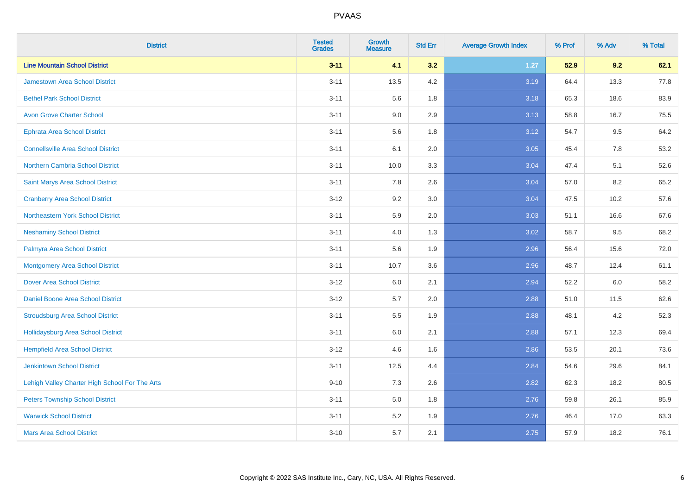| <b>District</b>                                | <b>Tested</b><br><b>Grades</b> | <b>Growth</b><br><b>Measure</b> | <b>Std Err</b> | <b>Average Growth Index</b> | % Prof | % Adv | % Total |
|------------------------------------------------|--------------------------------|---------------------------------|----------------|-----------------------------|--------|-------|---------|
| <b>Line Mountain School District</b>           | $3 - 11$                       | 4.1                             | 3.2            | $1.27$                      | 52.9   | 9.2   | 62.1    |
| <b>Jamestown Area School District</b>          | $3 - 11$                       | 13.5                            | 4.2            | 3.19                        | 64.4   | 13.3  | 77.8    |
| <b>Bethel Park School District</b>             | $3 - 11$                       | 5.6                             | 1.8            | 3.18                        | 65.3   | 18.6  | 83.9    |
| <b>Avon Grove Charter School</b>               | $3 - 11$                       | 9.0                             | 2.9            | 3.13                        | 58.8   | 16.7  | 75.5    |
| <b>Ephrata Area School District</b>            | $3 - 11$                       | 5.6                             | 1.8            | 3.12                        | 54.7   | 9.5   | 64.2    |
| <b>Connellsville Area School District</b>      | $3 - 11$                       | 6.1                             | 2.0            | 3.05                        | 45.4   | 7.8   | 53.2    |
| Northern Cambria School District               | $3 - 11$                       | 10.0                            | 3.3            | 3.04                        | 47.4   | 5.1   | 52.6    |
| Saint Marys Area School District               | $3 - 11$                       | 7.8                             | 2.6            | 3.04                        | 57.0   | 8.2   | 65.2    |
| <b>Cranberry Area School District</b>          | $3 - 12$                       | 9.2                             | 3.0            | 3.04                        | 47.5   | 10.2  | 57.6    |
| Northeastern York School District              | $3 - 11$                       | 5.9                             | 2.0            | 3.03                        | 51.1   | 16.6  | 67.6    |
| <b>Neshaminy School District</b>               | $3 - 11$                       | 4.0                             | 1.3            | 3.02                        | 58.7   | 9.5   | 68.2    |
| Palmyra Area School District                   | $3 - 11$                       | 5.6                             | 1.9            | 2.96                        | 56.4   | 15.6  | 72.0    |
| <b>Montgomery Area School District</b>         | $3 - 11$                       | 10.7                            | 3.6            | 2.96                        | 48.7   | 12.4  | 61.1    |
| <b>Dover Area School District</b>              | $3-12$                         | 6.0                             | 2.1            | 2.94                        | 52.2   | 6.0   | 58.2    |
| <b>Daniel Boone Area School District</b>       | $3 - 12$                       | 5.7                             | 2.0            | 2.88                        | 51.0   | 11.5  | 62.6    |
| <b>Stroudsburg Area School District</b>        | $3 - 11$                       | 5.5                             | 1.9            | 2.88                        | 48.1   | 4.2   | 52.3    |
| Hollidaysburg Area School District             | $3 - 11$                       | 6.0                             | 2.1            | 2.88                        | 57.1   | 12.3  | 69.4    |
| <b>Hempfield Area School District</b>          | $3 - 12$                       | 4.6                             | 1.6            | 2.86                        | 53.5   | 20.1  | 73.6    |
| <b>Jenkintown School District</b>              | $3 - 11$                       | 12.5                            | 4.4            | 2.84                        | 54.6   | 29.6  | 84.1    |
| Lehigh Valley Charter High School For The Arts | $9 - 10$                       | 7.3                             | 2.6            | 2.82                        | 62.3   | 18.2  | 80.5    |
| <b>Peters Township School District</b>         | $3 - 11$                       | 5.0                             | 1.8            | 2.76                        | 59.8   | 26.1  | 85.9    |
| <b>Warwick School District</b>                 | $3 - 11$                       | 5.2                             | 1.9            | 2.76                        | 46.4   | 17.0  | 63.3    |
| <b>Mars Area School District</b>               | $3 - 10$                       | 5.7                             | 2.1            | 2.75                        | 57.9   | 18.2  | 76.1    |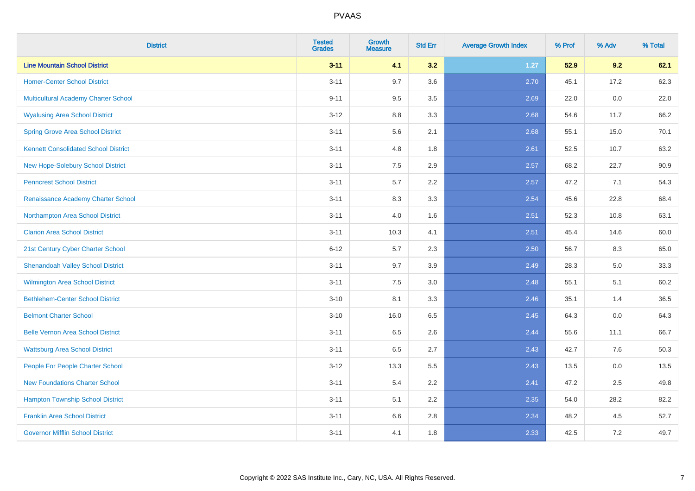| <b>District</b>                             | <b>Tested</b><br><b>Grades</b> | <b>Growth</b><br><b>Measure</b> | <b>Std Err</b> | <b>Average Growth Index</b> | % Prof | % Adv | % Total |
|---------------------------------------------|--------------------------------|---------------------------------|----------------|-----------------------------|--------|-------|---------|
| <b>Line Mountain School District</b>        | $3 - 11$                       | 4.1                             | 3.2            | $1.27$                      | 52.9   | 9.2   | 62.1    |
| <b>Homer-Center School District</b>         | $3 - 11$                       | 9.7                             | 3.6            | 2.70                        | 45.1   | 17.2  | 62.3    |
| Multicultural Academy Charter School        | $9 - 11$                       | 9.5                             | 3.5            | 2.69                        | 22.0   | 0.0   | 22.0    |
| <b>Wyalusing Area School District</b>       | $3-12$                         | 8.8                             | 3.3            | 2.68                        | 54.6   | 11.7  | 66.2    |
| <b>Spring Grove Area School District</b>    | $3 - 11$                       | 5.6                             | 2.1            | 2.68                        | 55.1   | 15.0  | 70.1    |
| <b>Kennett Consolidated School District</b> | $3 - 11$                       | 4.8                             | 1.8            | 2.61                        | 52.5   | 10.7  | 63.2    |
| New Hope-Solebury School District           | $3 - 11$                       | 7.5                             | 2.9            | 2.57                        | 68.2   | 22.7  | 90.9    |
| <b>Penncrest School District</b>            | $3 - 11$                       | 5.7                             | 2.2            | 2.57                        | 47.2   | 7.1   | 54.3    |
| Renaissance Academy Charter School          | $3 - 11$                       | 8.3                             | 3.3            | 2.54                        | 45.6   | 22.8  | 68.4    |
| Northampton Area School District            | $3 - 11$                       | 4.0                             | 1.6            | 2.51                        | 52.3   | 10.8  | 63.1    |
| <b>Clarion Area School District</b>         | $3 - 11$                       | 10.3                            | 4.1            | 2.51                        | 45.4   | 14.6  | 60.0    |
| 21st Century Cyber Charter School           | $6 - 12$                       | 5.7                             | 2.3            | 2.50                        | 56.7   | 8.3   | 65.0    |
| <b>Shenandoah Valley School District</b>    | $3 - 11$                       | 9.7                             | 3.9            | 2.49                        | 28.3   | 5.0   | 33.3    |
| <b>Wilmington Area School District</b>      | $3 - 11$                       | $7.5\,$                         | 3.0            | 2.48                        | 55.1   | 5.1   | 60.2    |
| <b>Bethlehem-Center School District</b>     | $3 - 10$                       | 8.1                             | 3.3            | 2.46                        | 35.1   | 1.4   | 36.5    |
| <b>Belmont Charter School</b>               | $3 - 10$                       | 16.0                            | 6.5            | 2.45                        | 64.3   | 0.0   | 64.3    |
| <b>Belle Vernon Area School District</b>    | $3 - 11$                       | 6.5                             | 2.6            | 2.44                        | 55.6   | 11.1  | 66.7    |
| <b>Wattsburg Area School District</b>       | $3 - 11$                       | 6.5                             | 2.7            | 2.43                        | 42.7   | 7.6   | 50.3    |
| People For People Charter School            | $3 - 12$                       | 13.3                            | 5.5            | 2.43                        | 13.5   | 0.0   | 13.5    |
| <b>New Foundations Charter School</b>       | $3 - 11$                       | 5.4                             | 2.2            | 2.41                        | 47.2   | 2.5   | 49.8    |
| <b>Hampton Township School District</b>     | $3 - 11$                       | 5.1                             | 2.2            | 2.35                        | 54.0   | 28.2  | 82.2    |
| <b>Franklin Area School District</b>        | $3 - 11$                       | 6.6                             | 2.8            | 2.34                        | 48.2   | 4.5   | 52.7    |
| <b>Governor Mifflin School District</b>     | $3 - 11$                       | 4.1                             | 1.8            | 2.33                        | 42.5   | 7.2   | 49.7    |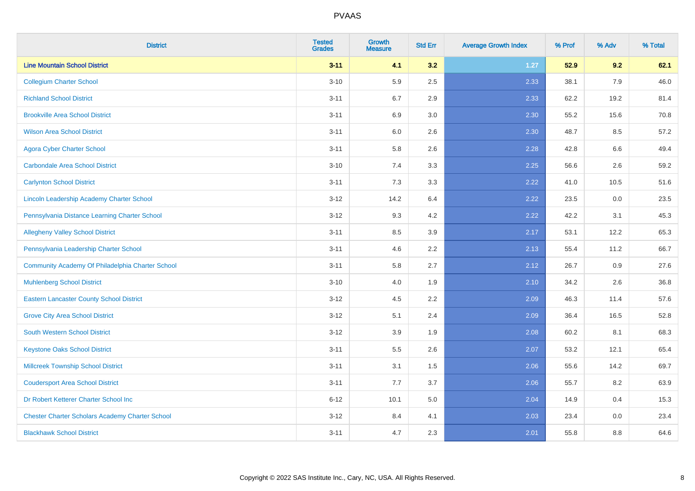| <b>District</b>                                        | <b>Tested</b><br><b>Grades</b> | Growth<br><b>Measure</b> | <b>Std Err</b> | <b>Average Growth Index</b> | % Prof | % Adv   | % Total |
|--------------------------------------------------------|--------------------------------|--------------------------|----------------|-----------------------------|--------|---------|---------|
| <b>Line Mountain School District</b>                   | $3 - 11$                       | 4.1                      | 3.2            | 1.27                        | 52.9   | 9.2     | 62.1    |
| <b>Collegium Charter School</b>                        | $3 - 10$                       | 5.9                      | 2.5            | 2.33                        | 38.1   | 7.9     | 46.0    |
| <b>Richland School District</b>                        | $3 - 11$                       | 6.7                      | 2.9            | 2.33                        | 62.2   | 19.2    | 81.4    |
| <b>Brookville Area School District</b>                 | $3 - 11$                       | 6.9                      | 3.0            | 2.30                        | 55.2   | 15.6    | 70.8    |
| <b>Wilson Area School District</b>                     | $3 - 11$                       | 6.0                      | 2.6            | 2.30                        | 48.7   | 8.5     | 57.2    |
| <b>Agora Cyber Charter School</b>                      | $3 - 11$                       | 5.8                      | 2.6            | 2.28                        | 42.8   | $6.6\,$ | 49.4    |
| <b>Carbondale Area School District</b>                 | $3 - 10$                       | 7.4                      | 3.3            | 2.25                        | 56.6   | 2.6     | 59.2    |
| <b>Carlynton School District</b>                       | $3 - 11$                       | 7.3                      | 3.3            | 2.22                        | 41.0   | 10.5    | 51.6    |
| Lincoln Leadership Academy Charter School              | $3 - 12$                       | 14.2                     | 6.4            | 2.22                        | 23.5   | 0.0     | 23.5    |
| Pennsylvania Distance Learning Charter School          | $3 - 12$                       | 9.3                      | 4.2            | 2.22                        | 42.2   | 3.1     | 45.3    |
| <b>Allegheny Valley School District</b>                | $3 - 11$                       | 8.5                      | 3.9            | 2.17                        | 53.1   | 12.2    | 65.3    |
| Pennsylvania Leadership Charter School                 | $3 - 11$                       | 4.6                      | 2.2            | 2.13                        | 55.4   | 11.2    | 66.7    |
| Community Academy Of Philadelphia Charter School       | $3 - 11$                       | 5.8                      | 2.7            | 2.12                        | 26.7   | 0.9     | 27.6    |
| <b>Muhlenberg School District</b>                      | $3 - 10$                       | 4.0                      | 1.9            | 2.10                        | 34.2   | 2.6     | 36.8    |
| <b>Eastern Lancaster County School District</b>        | $3 - 12$                       | 4.5                      | 2.2            | 2.09                        | 46.3   | 11.4    | 57.6    |
| <b>Grove City Area School District</b>                 | $3 - 12$                       | 5.1                      | 2.4            | 2.09                        | 36.4   | 16.5    | 52.8    |
| <b>South Western School District</b>                   | $3 - 12$                       | 3.9                      | 1.9            | 2.08                        | 60.2   | 8.1     | 68.3    |
| <b>Keystone Oaks School District</b>                   | $3 - 11$                       | 5.5                      | 2.6            | 2.07                        | 53.2   | 12.1    | 65.4    |
| Millcreek Township School District                     | $3 - 11$                       | 3.1                      | 1.5            | 2.06                        | 55.6   | 14.2    | 69.7    |
| <b>Coudersport Area School District</b>                | $3 - 11$                       | 7.7                      | 3.7            | 2.06                        | 55.7   | 8.2     | 63.9    |
| Dr Robert Ketterer Charter School Inc                  | $6 - 12$                       | 10.1                     | 5.0            | 2.04                        | 14.9   | 0.4     | 15.3    |
| <b>Chester Charter Scholars Academy Charter School</b> | $3 - 12$                       | 8.4                      | 4.1            | 2.03                        | 23.4   | 0.0     | 23.4    |
| <b>Blackhawk School District</b>                       | $3 - 11$                       | 4.7                      | 2.3            | 2.01                        | 55.8   | 8.8     | 64.6    |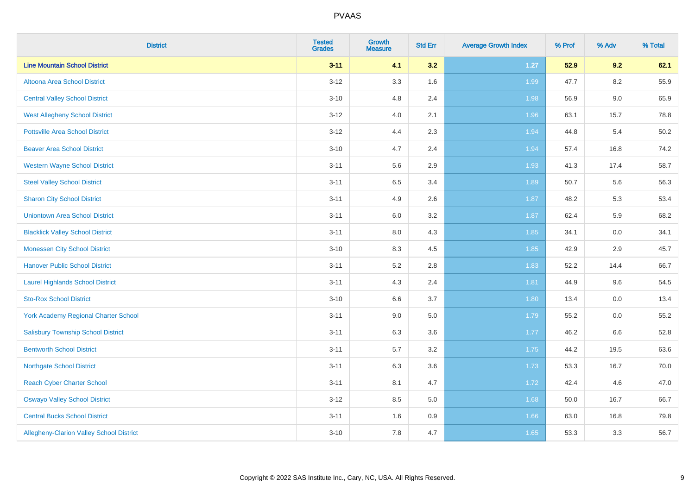| <b>District</b>                             | <b>Tested</b><br><b>Grades</b> | <b>Growth</b><br><b>Measure</b> | <b>Std Err</b> | <b>Average Growth Index</b> | % Prof | % Adv | % Total |
|---------------------------------------------|--------------------------------|---------------------------------|----------------|-----------------------------|--------|-------|---------|
| <b>Line Mountain School District</b>        | $3 - 11$                       | 4.1                             | 3.2            | $1.27$                      | 52.9   | 9.2   | 62.1    |
| Altoona Area School District                | $3 - 12$                       | 3.3                             | 1.6            | 1.99                        | 47.7   | 8.2   | 55.9    |
| <b>Central Valley School District</b>       | $3 - 10$                       | 4.8                             | 2.4            | 1.98                        | 56.9   | 9.0   | 65.9    |
| <b>West Allegheny School District</b>       | $3 - 12$                       | 4.0                             | 2.1            | 1.96                        | 63.1   | 15.7  | 78.8    |
| <b>Pottsville Area School District</b>      | $3 - 12$                       | 4.4                             | 2.3            | 1.94                        | 44.8   | 5.4   | 50.2    |
| <b>Beaver Area School District</b>          | $3 - 10$                       | 4.7                             | 2.4            | 1.94                        | 57.4   | 16.8  | 74.2    |
| <b>Western Wayne School District</b>        | $3 - 11$                       | 5.6                             | 2.9            | 1.93                        | 41.3   | 17.4  | 58.7    |
| <b>Steel Valley School District</b>         | $3 - 11$                       | 6.5                             | 3.4            | 1.89                        | 50.7   | 5.6   | 56.3    |
| <b>Sharon City School District</b>          | $3 - 11$                       | 4.9                             | 2.6            | 1.87                        | 48.2   | 5.3   | 53.4    |
| <b>Uniontown Area School District</b>       | $3 - 11$                       | 6.0                             | $3.2\,$        | 1.87                        | 62.4   | 5.9   | 68.2    |
| <b>Blacklick Valley School District</b>     | $3 - 11$                       | 8.0                             | 4.3            | 1.85                        | 34.1   | 0.0   | 34.1    |
| <b>Monessen City School District</b>        | $3 - 10$                       | 8.3                             | 4.5            | 1.85                        | 42.9   | 2.9   | 45.7    |
| <b>Hanover Public School District</b>       | $3 - 11$                       | 5.2                             | $2.8\,$        | 1.83                        | 52.2   | 14.4  | 66.7    |
| <b>Laurel Highlands School District</b>     | $3 - 11$                       | 4.3                             | 2.4            | 1.81                        | 44.9   | 9.6   | 54.5    |
| <b>Sto-Rox School District</b>              | $3 - 10$                       | 6.6                             | 3.7            | 1.80                        | 13.4   | 0.0   | 13.4    |
| <b>York Academy Regional Charter School</b> | $3 - 11$                       | 9.0                             | 5.0            | 1.79                        | 55.2   | 0.0   | 55.2    |
| <b>Salisbury Township School District</b>   | $3 - 11$                       | 6.3                             | 3.6            | 1.77                        | 46.2   | 6.6   | 52.8    |
| <b>Bentworth School District</b>            | $3 - 11$                       | 5.7                             | 3.2            | 1.75                        | 44.2   | 19.5  | 63.6    |
| <b>Northgate School District</b>            | $3 - 11$                       | 6.3                             | 3.6            | 1.73                        | 53.3   | 16.7  | 70.0    |
| <b>Reach Cyber Charter School</b>           | $3 - 11$                       | 8.1                             | 4.7            | 1.72                        | 42.4   | 4.6   | 47.0    |
| <b>Oswayo Valley School District</b>        | $3-12$                         | $8.5\,$                         | 5.0            | 1.68                        | 50.0   | 16.7  | 66.7    |
| <b>Central Bucks School District</b>        | $3 - 11$                       | 1.6                             | 0.9            | 1.66                        | 63.0   | 16.8  | 79.8    |
| Allegheny-Clarion Valley School District    | $3 - 10$                       | 7.8                             | 4.7            | 1.65                        | 53.3   | 3.3   | 56.7    |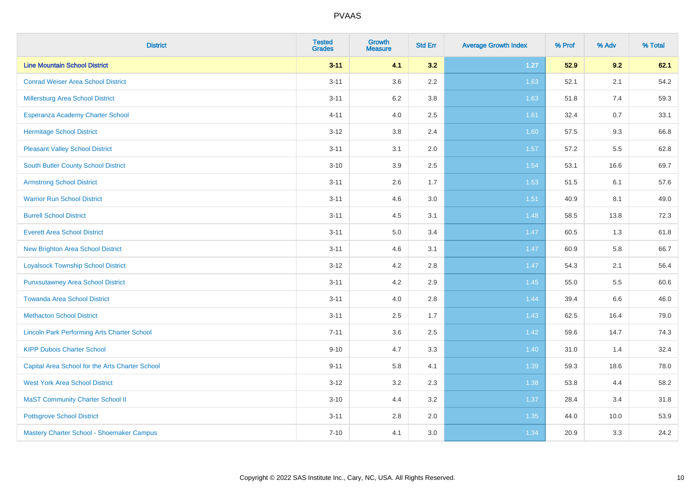| <b>District</b>                                    | <b>Tested</b><br><b>Grades</b> | <b>Growth</b><br><b>Measure</b> | <b>Std Err</b> | <b>Average Growth Index</b> | % Prof | % Adv | % Total |
|----------------------------------------------------|--------------------------------|---------------------------------|----------------|-----------------------------|--------|-------|---------|
| <b>Line Mountain School District</b>               | $3 - 11$                       | 4.1                             | 3.2            | $1.27$                      | 52.9   | 9.2   | 62.1    |
| <b>Conrad Weiser Area School District</b>          | $3 - 11$                       | 3.6                             | 2.2            | 1.63                        | 52.1   | 2.1   | 54.2    |
| Millersburg Area School District                   | $3 - 11$                       | $6.2\,$                         | 3.8            | 1.63                        | 51.8   | 7.4   | 59.3    |
| Esperanza Academy Charter School                   | $4 - 11$                       | 4.0                             | 2.5            | 1.61                        | 32.4   | 0.7   | 33.1    |
| <b>Hermitage School District</b>                   | $3 - 12$                       | 3.8                             | 2.4            | 1.60                        | 57.5   | 9.3   | 66.8    |
| <b>Pleasant Valley School District</b>             | $3 - 11$                       | 3.1                             | 2.0            | 1.57                        | 57.2   | 5.5   | 62.8    |
| <b>South Butler County School District</b>         | $3 - 10$                       | 3.9                             | 2.5            | 1.54                        | 53.1   | 16.6  | 69.7    |
| <b>Armstrong School District</b>                   | $3 - 11$                       | 2.6                             | 1.7            | 1.53                        | 51.5   | 6.1   | 57.6    |
| <b>Warrior Run School District</b>                 | $3 - 11$                       | 4.6                             | 3.0            | 1.51                        | 40.9   | 8.1   | 49.0    |
| <b>Burrell School District</b>                     | $3 - 11$                       | 4.5                             | 3.1            | 1.48                        | 58.5   | 13.8  | 72.3    |
| <b>Everett Area School District</b>                | $3 - 11$                       | 5.0                             | 3.4            | 1.47                        | 60.5   | 1.3   | 61.8    |
| <b>New Brighton Area School District</b>           | $3 - 11$                       | 4.6                             | 3.1            | 1.47                        | 60.9   | 5.8   | 66.7    |
| <b>Loyalsock Township School District</b>          | $3 - 12$                       | 4.2                             | 2.8            | 1.47                        | 54.3   | 2.1   | 56.4    |
| <b>Punxsutawney Area School District</b>           | $3 - 11$                       | 4.2                             | 2.9            | 1.45                        | 55.0   | 5.5   | 60.6    |
| <b>Towanda Area School District</b>                | $3 - 11$                       | 4.0                             | 2.8            | 1.44                        | 39.4   | 6.6   | 46.0    |
| <b>Methacton School District</b>                   | $3 - 11$                       | 2.5                             | 1.7            | 1.43                        | 62.5   | 16.4  | 79.0    |
| <b>Lincoln Park Performing Arts Charter School</b> | $7 - 11$                       | 3.6                             | 2.5            | 1.42                        | 59.6   | 14.7  | 74.3    |
| <b>KIPP Dubois Charter School</b>                  | $9 - 10$                       | 4.7                             | 3.3            | 1.40                        | 31.0   | 1.4   | 32.4    |
| Capital Area School for the Arts Charter School    | $9 - 11$                       | 5.8                             | 4.1            | 1.39                        | 59.3   | 18.6  | 78.0    |
| <b>West York Area School District</b>              | $3 - 12$                       | 3.2                             | 2.3            | 1.38                        | 53.8   | 4.4   | 58.2    |
| <b>MaST Community Charter School II</b>            | $3 - 10$                       | 4.4                             | 3.2            | 1.37                        | 28.4   | 3.4   | 31.8    |
| <b>Pottsgrove School District</b>                  | $3 - 11$                       | 2.8                             | 2.0            | 1.35                        | 44.0   | 10.0  | 53.9    |
| Mastery Charter School - Shoemaker Campus          | $7 - 10$                       | 4.1                             | 3.0            | 1.34                        | 20.9   | 3.3   | 24.2    |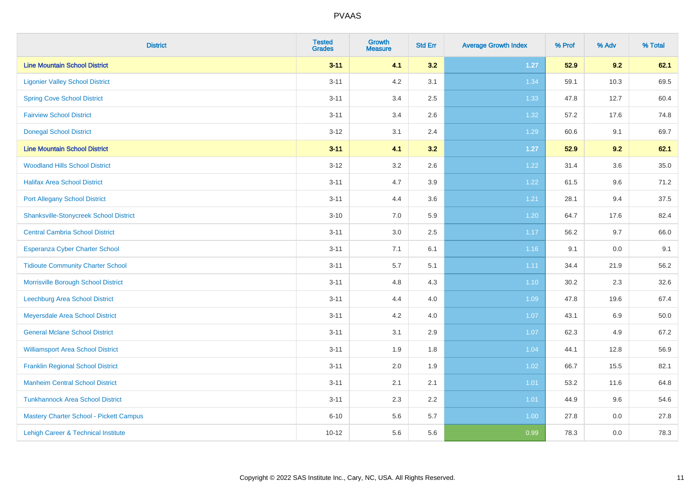| <b>District</b>                                | <b>Tested</b><br><b>Grades</b> | <b>Growth</b><br><b>Measure</b> | <b>Std Err</b> | <b>Average Growth Index</b> | % Prof | % Adv   | % Total |
|------------------------------------------------|--------------------------------|---------------------------------|----------------|-----------------------------|--------|---------|---------|
| <b>Line Mountain School District</b>           | $3 - 11$                       | 4.1                             | 3.2            | $1.27$                      | 52.9   | 9.2     | 62.1    |
| <b>Ligonier Valley School District</b>         | $3 - 11$                       | 4.2                             | 3.1            | 1.34                        | 59.1   | 10.3    | 69.5    |
| <b>Spring Cove School District</b>             | $3 - 11$                       | 3.4                             | 2.5            | 1.33                        | 47.8   | 12.7    | 60.4    |
| <b>Fairview School District</b>                | $3 - 11$                       | 3.4                             | 2.6            | 1.32                        | 57.2   | 17.6    | 74.8    |
| <b>Donegal School District</b>                 | $3 - 12$                       | 3.1                             | 2.4            | 1.29                        | 60.6   | 9.1     | 69.7    |
| <b>Line Mountain School District</b>           | $3 - 11$                       | 4.1                             | 3.2            | $1.27$                      | 52.9   | 9.2     | 62.1    |
| <b>Woodland Hills School District</b>          | $3 - 12$                       | 3.2                             | 2.6            | 1.22                        | 31.4   | 3.6     | 35.0    |
| <b>Halifax Area School District</b>            | $3 - 11$                       | 4.7                             | 3.9            | 1.22                        | 61.5   | 9.6     | 71.2    |
| <b>Port Allegany School District</b>           | $3 - 11$                       | 4.4                             | 3.6            | 1.21                        | 28.1   | 9.4     | 37.5    |
| <b>Shanksville-Stonycreek School District</b>  | $3 - 10$                       | 7.0                             | 5.9            | 1.20                        | 64.7   | 17.6    | 82.4    |
| <b>Central Cambria School District</b>         | $3 - 11$                       | 3.0                             | 2.5            | 1.17                        | 56.2   | 9.7     | 66.0    |
| Esperanza Cyber Charter School                 | $3 - 11$                       | 7.1                             | 6.1            | 1.16                        | 9.1    | 0.0     | 9.1     |
| <b>Tidioute Community Charter School</b>       | $3 - 11$                       | 5.7                             | 5.1            | 1.11                        | 34.4   | 21.9    | 56.2    |
| Morrisville Borough School District            | $3 - 11$                       | 4.8                             | 4.3            | $1.10$                      | 30.2   | 2.3     | 32.6    |
| Leechburg Area School District                 | $3 - 11$                       | 4.4                             | 4.0            | 1.09                        | 47.8   | 19.6    | 67.4    |
| Meyersdale Area School District                | $3 - 11$                       | 4.2                             | 4.0            | 1.07                        | 43.1   | $6.9\,$ | 50.0    |
| <b>General Mclane School District</b>          | $3 - 11$                       | 3.1                             | 2.9            | 1.07                        | 62.3   | 4.9     | 67.2    |
| <b>Williamsport Area School District</b>       | $3 - 11$                       | 1.9                             | 1.8            | 1.04                        | 44.1   | 12.8    | 56.9    |
| <b>Franklin Regional School District</b>       | $3 - 11$                       | 2.0                             | 1.9            | 1.02                        | 66.7   | 15.5    | 82.1    |
| <b>Manheim Central School District</b>         | $3 - 11$                       | 2.1                             | 2.1            | $1.01$                      | 53.2   | 11.6    | 64.8    |
| <b>Tunkhannock Area School District</b>        | $3 - 11$                       | 2.3                             | 2.2            | 1.01                        | 44.9   | 9.6     | 54.6    |
| <b>Mastery Charter School - Pickett Campus</b> | $6 - 10$                       | 5.6                             | 5.7            | 1.00                        | 27.8   | 0.0     | 27.8    |
| Lehigh Career & Technical Institute            | $10 - 12$                      | 5.6                             | 5.6            | 0.99                        | 78.3   | 0.0     | 78.3    |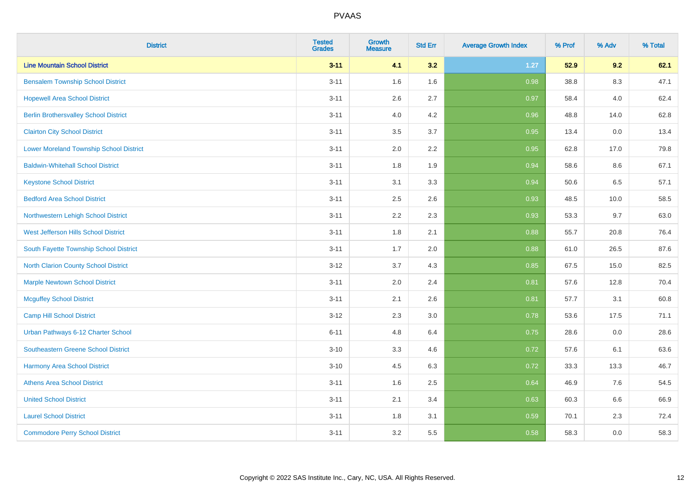| <b>District</b>                              | <b>Tested</b><br><b>Grades</b> | Growth<br><b>Measure</b> | <b>Std Err</b> | <b>Average Growth Index</b> | % Prof | % Adv   | % Total |
|----------------------------------------------|--------------------------------|--------------------------|----------------|-----------------------------|--------|---------|---------|
| <b>Line Mountain School District</b>         | $3 - 11$                       | 4.1                      | 3.2            | $1.27$                      | 52.9   | 9.2     | 62.1    |
| <b>Bensalem Township School District</b>     | $3 - 11$                       | 1.6                      | 1.6            | 0.98                        | 38.8   | $8.3\,$ | 47.1    |
| <b>Hopewell Area School District</b>         | $3 - 11$                       | 2.6                      | 2.7            | 0.97                        | 58.4   | 4.0     | 62.4    |
| <b>Berlin Brothersvalley School District</b> | $3 - 11$                       | 4.0                      | 4.2            | 0.96                        | 48.8   | 14.0    | 62.8    |
| <b>Clairton City School District</b>         | $3 - 11$                       | 3.5                      | 3.7            | 0.95                        | 13.4   | 0.0     | 13.4    |
| Lower Moreland Township School District      | $3 - 11$                       | 2.0                      | 2.2            | 0.95                        | 62.8   | 17.0    | 79.8    |
| <b>Baldwin-Whitehall School District</b>     | $3 - 11$                       | 1.8                      | 1.9            | 0.94                        | 58.6   | 8.6     | 67.1    |
| <b>Keystone School District</b>              | $3 - 11$                       | 3.1                      | 3.3            | 0.94                        | 50.6   | 6.5     | 57.1    |
| <b>Bedford Area School District</b>          | $3 - 11$                       | 2.5                      | 2.6            | 0.93                        | 48.5   | 10.0    | 58.5    |
| Northwestern Lehigh School District          | $3 - 11$                       | 2.2                      | 2.3            | 0.93                        | 53.3   | 9.7     | 63.0    |
| West Jefferson Hills School District         | $3 - 11$                       | 1.8                      | 2.1            | 0.88                        | 55.7   | 20.8    | 76.4    |
| South Fayette Township School District       | $3 - 11$                       | 1.7                      | 2.0            | 0.88                        | 61.0   | 26.5    | 87.6    |
| <b>North Clarion County School District</b>  | $3-12$                         | 3.7                      | 4.3            | 0.85                        | 67.5   | 15.0    | 82.5    |
| <b>Marple Newtown School District</b>        | $3 - 11$                       | 2.0                      | 2.4            | 0.81                        | 57.6   | 12.8    | 70.4    |
| <b>Mcguffey School District</b>              | $3 - 11$                       | 2.1                      | 2.6            | 0.81                        | 57.7   | 3.1     | 60.8    |
| Camp Hill School District                    | $3-12$                         | 2.3                      | 3.0            | 0.78                        | 53.6   | 17.5    | 71.1    |
| Urban Pathways 6-12 Charter School           | $6 - 11$                       | 4.8                      | 6.4            | 0.75                        | 28.6   | 0.0     | 28.6    |
| Southeastern Greene School District          | $3 - 10$                       | 3.3                      | 4.6            | 0.72                        | 57.6   | 6.1     | 63.6    |
| <b>Harmony Area School District</b>          | $3 - 10$                       | 4.5                      | 6.3            | 0.72                        | 33.3   | 13.3    | 46.7    |
| <b>Athens Area School District</b>           | $3 - 11$                       | 1.6                      | 2.5            | 0.64                        | 46.9   | 7.6     | 54.5    |
| <b>United School District</b>                | $3 - 11$                       | 2.1                      | 3.4            | 0.63                        | 60.3   | 6.6     | 66.9    |
| <b>Laurel School District</b>                | $3 - 11$                       | 1.8                      | 3.1            | 0.59                        | 70.1   | 2.3     | 72.4    |
| <b>Commodore Perry School District</b>       | $3 - 11$                       | 3.2                      | 5.5            | 0.58                        | 58.3   | 0.0     | 58.3    |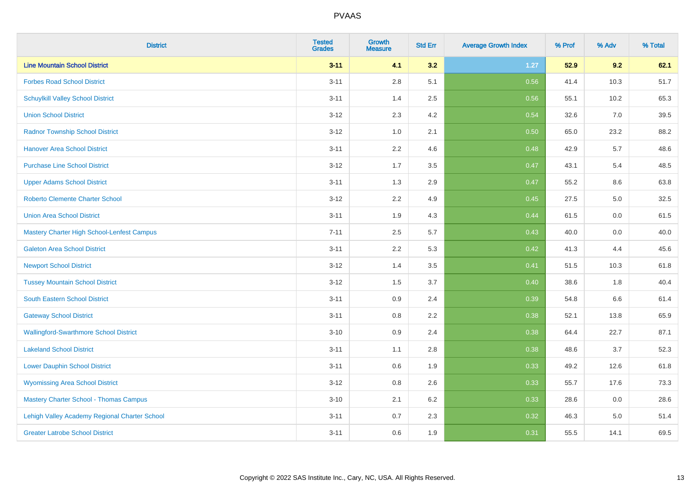| <b>District</b>                               | <b>Tested</b><br><b>Grades</b> | <b>Growth</b><br><b>Measure</b> | <b>Std Err</b> | <b>Average Growth Index</b> | % Prof | % Adv | % Total |
|-----------------------------------------------|--------------------------------|---------------------------------|----------------|-----------------------------|--------|-------|---------|
| <b>Line Mountain School District</b>          | $3 - 11$                       | 4.1                             | 3.2            | $1.27$                      | 52.9   | 9.2   | 62.1    |
| <b>Forbes Road School District</b>            | $3 - 11$                       | 2.8                             | 5.1            | 0.56                        | 41.4   | 10.3  | 51.7    |
| <b>Schuylkill Valley School District</b>      | $3 - 11$                       | 1.4                             | 2.5            | 0.56                        | 55.1   | 10.2  | 65.3    |
| <b>Union School District</b>                  | $3 - 12$                       | 2.3                             | 4.2            | 0.54                        | 32.6   | 7.0   | 39.5    |
| <b>Radnor Township School District</b>        | $3 - 12$                       | 1.0                             | 2.1            | 0.50                        | 65.0   | 23.2  | 88.2    |
| <b>Hanover Area School District</b>           | $3 - 11$                       | 2.2                             | 4.6            | 0.48                        | 42.9   | 5.7   | 48.6    |
| <b>Purchase Line School District</b>          | $3 - 12$                       | 1.7                             | 3.5            | 0.47                        | 43.1   | 5.4   | 48.5    |
| <b>Upper Adams School District</b>            | $3 - 11$                       | 1.3                             | 2.9            | 0.47                        | 55.2   | 8.6   | 63.8    |
| Roberto Clemente Charter School               | $3 - 12$                       | 2.2                             | 4.9            | 0.45                        | 27.5   | 5.0   | 32.5    |
| <b>Union Area School District</b>             | $3 - 11$                       | 1.9                             | 4.3            | 0.44                        | 61.5   | 0.0   | 61.5    |
| Mastery Charter High School-Lenfest Campus    | $7 - 11$                       | 2.5                             | 5.7            | 0.43                        | 40.0   | 0.0   | 40.0    |
| <b>Galeton Area School District</b>           | $3 - 11$                       | 2.2                             | 5.3            | 0.42                        | 41.3   | 4.4   | 45.6    |
| <b>Newport School District</b>                | $3 - 12$                       | 1.4                             | 3.5            | 0.41                        | 51.5   | 10.3  | 61.8    |
| <b>Tussey Mountain School District</b>        | $3 - 12$                       | 1.5                             | 3.7            | 0.40                        | 38.6   | 1.8   | 40.4    |
| South Eastern School District                 | $3 - 11$                       | 0.9                             | 2.4            | 0.39                        | 54.8   | 6.6   | 61.4    |
| <b>Gateway School District</b>                | $3 - 11$                       | 0.8                             | 2.2            | 0.38                        | 52.1   | 13.8  | 65.9    |
| <b>Wallingford-Swarthmore School District</b> | $3 - 10$                       | 0.9                             | 2.4            | 0.38                        | 64.4   | 22.7  | 87.1    |
| <b>Lakeland School District</b>               | $3 - 11$                       | 1.1                             | 2.8            | 0.38                        | 48.6   | 3.7   | 52.3    |
| <b>Lower Dauphin School District</b>          | $3 - 11$                       | 0.6                             | 1.9            | 0.33                        | 49.2   | 12.6  | 61.8    |
| <b>Wyomissing Area School District</b>        | $3 - 12$                       | $0.8\,$                         | 2.6            | 0.33                        | 55.7   | 17.6  | 73.3    |
| <b>Mastery Charter School - Thomas Campus</b> | $3 - 10$                       | 2.1                             | 6.2            | 0.33                        | 28.6   | 0.0   | 28.6    |
| Lehigh Valley Academy Regional Charter School | $3 - 11$                       | 0.7                             | 2.3            | 0.32                        | 46.3   | 5.0   | 51.4    |
| <b>Greater Latrobe School District</b>        | $3 - 11$                       | 0.6                             | 1.9            | 0.31                        | 55.5   | 14.1  | 69.5    |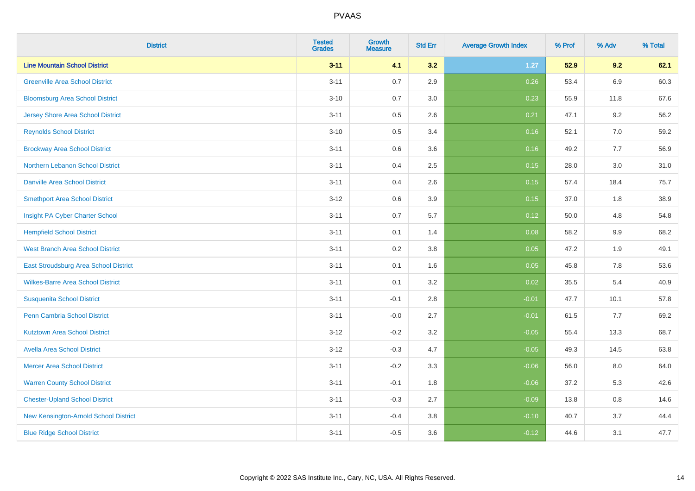| <b>District</b>                          | <b>Tested</b><br><b>Grades</b> | Growth<br><b>Measure</b> | <b>Std Err</b> | <b>Average Growth Index</b> | % Prof | % Adv   | % Total |
|------------------------------------------|--------------------------------|--------------------------|----------------|-----------------------------|--------|---------|---------|
| <b>Line Mountain School District</b>     | $3 - 11$                       | 4.1                      | 3.2            | $1.27$                      | 52.9   | 9.2     | 62.1    |
| <b>Greenville Area School District</b>   | $3 - 11$                       | 0.7                      | 2.9            | 0.26                        | 53.4   | 6.9     | 60.3    |
| <b>Bloomsburg Area School District</b>   | $3 - 10$                       | 0.7                      | 3.0            | 0.23                        | 55.9   | 11.8    | 67.6    |
| <b>Jersey Shore Area School District</b> | $3 - 11$                       | 0.5                      | 2.6            | 0.21                        | 47.1   | 9.2     | 56.2    |
| <b>Reynolds School District</b>          | $3 - 10$                       | 0.5                      | 3.4            | 0.16                        | 52.1   | 7.0     | 59.2    |
| <b>Brockway Area School District</b>     | $3 - 11$                       | 0.6                      | 3.6            | 0.16                        | 49.2   | 7.7     | 56.9    |
| Northern Lebanon School District         | $3 - 11$                       | 0.4                      | 2.5            | 0.15                        | 28.0   | 3.0     | 31.0    |
| <b>Danville Area School District</b>     | $3 - 11$                       | 0.4                      | 2.6            | 0.15                        | 57.4   | 18.4    | 75.7    |
| <b>Smethport Area School District</b>    | $3 - 12$                       | 0.6                      | 3.9            | 0.15                        | 37.0   | 1.8     | 38.9    |
| Insight PA Cyber Charter School          | $3 - 11$                       | 0.7                      | 5.7            | 0.12                        | 50.0   | 4.8     | 54.8    |
| <b>Hempfield School District</b>         | $3 - 11$                       | 0.1                      | 1.4            | 0.08                        | 58.2   | 9.9     | 68.2    |
| <b>West Branch Area School District</b>  | $3 - 11$                       | 0.2                      | 3.8            | 0.05                        | 47.2   | 1.9     | 49.1    |
| East Stroudsburg Area School District    | $3 - 11$                       | 0.1                      | 1.6            | 0.05                        | 45.8   | $7.8\,$ | 53.6    |
| <b>Wilkes-Barre Area School District</b> | $3 - 11$                       | 0.1                      | 3.2            | 0.02                        | 35.5   | 5.4     | 40.9    |
| <b>Susquenita School District</b>        | $3 - 11$                       | $-0.1$                   | 2.8            | $-0.01$                     | 47.7   | 10.1    | 57.8    |
| <b>Penn Cambria School District</b>      | $3 - 11$                       | $-0.0$                   | 2.7            | $-0.01$                     | 61.5   | 7.7     | 69.2    |
| <b>Kutztown Area School District</b>     | $3 - 12$                       | $-0.2$                   | 3.2            | $-0.05$                     | 55.4   | 13.3    | 68.7    |
| <b>Avella Area School District</b>       | $3 - 12$                       | $-0.3$                   | 4.7            | $-0.05$                     | 49.3   | 14.5    | 63.8    |
| <b>Mercer Area School District</b>       | $3 - 11$                       | $-0.2$                   | 3.3            | $-0.06$                     | 56.0   | 8.0     | 64.0    |
| <b>Warren County School District</b>     | $3 - 11$                       | $-0.1$                   | 1.8            | $-0.06$                     | 37.2   | 5.3     | 42.6    |
| <b>Chester-Upland School District</b>    | $3 - 11$                       | $-0.3$                   | 2.7            | $-0.09$                     | 13.8   | 0.8     | 14.6    |
| New Kensington-Arnold School District    | $3 - 11$                       | $-0.4$                   | 3.8            | $-0.10$                     | 40.7   | 3.7     | 44.4    |
| <b>Blue Ridge School District</b>        | $3 - 11$                       | $-0.5$                   | 3.6            | $-0.12$                     | 44.6   | 3.1     | 47.7    |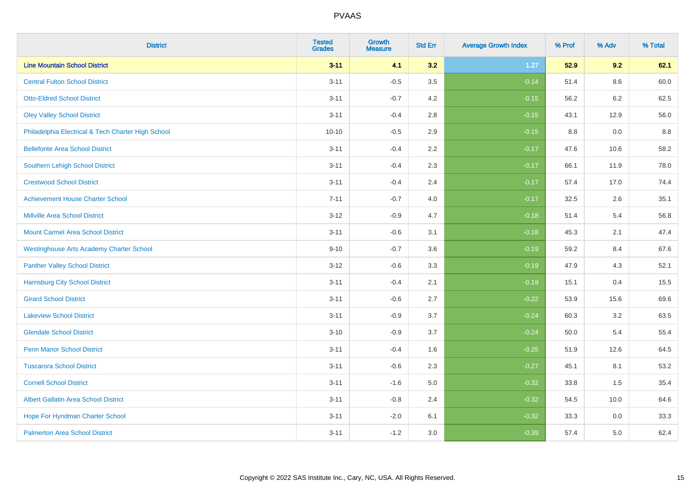| <b>District</b>                                    | <b>Tested</b><br><b>Grades</b> | <b>Growth</b><br><b>Measure</b> | <b>Std Err</b> | <b>Average Growth Index</b> | % Prof | % Adv | % Total |
|----------------------------------------------------|--------------------------------|---------------------------------|----------------|-----------------------------|--------|-------|---------|
| <b>Line Mountain School District</b>               | $3 - 11$                       | 4.1                             | 3.2            | $1.27$                      | 52.9   | 9.2   | 62.1    |
| <b>Central Fulton School District</b>              | $3 - 11$                       | $-0.5$                          | 3.5            | $-0.14$                     | 51.4   | 8.6   | 60.0    |
| <b>Otto-Eldred School District</b>                 | $3 - 11$                       | $-0.7$                          | 4.2            | $-0.15$                     | 56.2   | 6.2   | 62.5    |
| <b>Oley Valley School District</b>                 | $3 - 11$                       | $-0.4$                          | 2.8            | $-0.15$                     | 43.1   | 12.9  | 56.0    |
| Philadelphia Electrical & Tech Charter High School | $10 - 10$                      | $-0.5$                          | 2.9            | $-0.15$                     | 8.8    | 0.0   | 8.8     |
| <b>Bellefonte Area School District</b>             | $3 - 11$                       | $-0.4$                          | 2.2            | $-0.17$                     | 47.6   | 10.6  | 58.2    |
| Southern Lehigh School District                    | $3 - 11$                       | $-0.4$                          | 2.3            | $-0.17$                     | 66.1   | 11.9  | 78.0    |
| <b>Crestwood School District</b>                   | $3 - 11$                       | $-0.4$                          | 2.4            | $-0.17$                     | 57.4   | 17.0  | 74.4    |
| <b>Achievement House Charter School</b>            | $7 - 11$                       | $-0.7$                          | 4.0            | $-0.17$                     | 32.5   | 2.6   | 35.1    |
| <b>Millville Area School District</b>              | $3 - 12$                       | $-0.9$                          | 4.7            | $-0.18$                     | 51.4   | 5.4   | 56.8    |
| <b>Mount Carmel Area School District</b>           | $3 - 11$                       | $-0.6$                          | 3.1            | $-0.18$                     | 45.3   | 2.1   | 47.4    |
| <b>Westinghouse Arts Academy Charter School</b>    | $9 - 10$                       | $-0.7$                          | 3.6            | $-0.19$                     | 59.2   | 8.4   | 67.6    |
| <b>Panther Valley School District</b>              | $3-12$                         | $-0.6$                          | 3.3            | $-0.19$                     | 47.9   | 4.3   | 52.1    |
| <b>Harrisburg City School District</b>             | $3 - 11$                       | $-0.4$                          | 2.1            | $-0.19$                     | 15.1   | 0.4   | 15.5    |
| <b>Girard School District</b>                      | $3 - 11$                       | $-0.6$                          | 2.7            | $-0.22$                     | 53.9   | 15.6  | 69.6    |
| <b>Lakeview School District</b>                    | $3 - 11$                       | $-0.9$                          | 3.7            | $-0.24$                     | 60.3   | 3.2   | 63.5    |
| <b>Glendale School District</b>                    | $3 - 10$                       | $-0.9$                          | 3.7            | $-0.24$                     | 50.0   | 5.4   | 55.4    |
| <b>Penn Manor School District</b>                  | $3 - 11$                       | $-0.4$                          | 1.6            | $-0.25$                     | 51.9   | 12.6  | 64.5    |
| <b>Tuscarora School District</b>                   | $3 - 11$                       | $-0.6$                          | 2.3            | $-0.27$                     | 45.1   | 8.1   | 53.2    |
| <b>Cornell School District</b>                     | $3 - 11$                       | $-1.6$                          | 5.0            | $-0.32$                     | 33.8   | 1.5   | 35.4    |
| <b>Albert Gallatin Area School District</b>        | $3 - 11$                       | $-0.8$                          | 2.4            | $-0.32$                     | 54.5   | 10.0  | 64.6    |
| Hope For Hyndman Charter School                    | $3 - 11$                       | $-2.0$                          | 6.1            | $-0.32$                     | 33.3   | 0.0   | 33.3    |
| <b>Palmerton Area School District</b>              | $3 - 11$                       | $-1.2$                          | 3.0            | $-0.39$                     | 57.4   | 5.0   | 62.4    |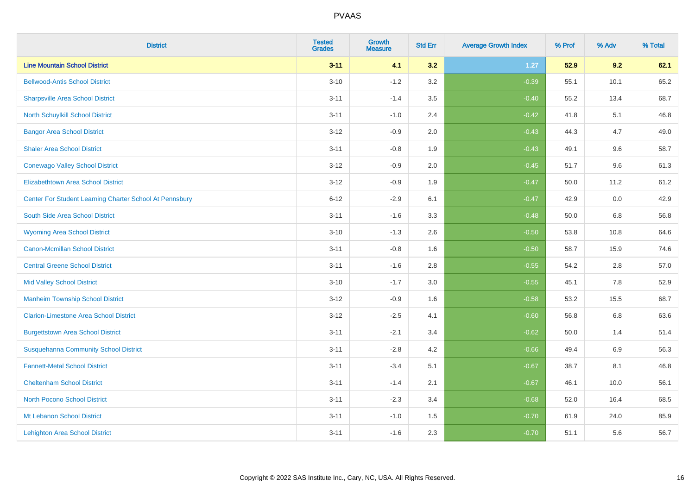| <b>District</b>                                         | <b>Tested</b><br><b>Grades</b> | Growth<br><b>Measure</b> | <b>Std Err</b> | <b>Average Growth Index</b> | % Prof | % Adv | % Total |
|---------------------------------------------------------|--------------------------------|--------------------------|----------------|-----------------------------|--------|-------|---------|
| <b>Line Mountain School District</b>                    | $3 - 11$                       | 4.1                      | 3.2            | 1.27                        | 52.9   | 9.2   | 62.1    |
| <b>Bellwood-Antis School District</b>                   | $3 - 10$                       | $-1.2$                   | 3.2            | $-0.39$                     | 55.1   | 10.1  | 65.2    |
| <b>Sharpsville Area School District</b>                 | $3 - 11$                       | $-1.4$                   | 3.5            | $-0.40$                     | 55.2   | 13.4  | 68.7    |
| North Schuylkill School District                        | $3 - 11$                       | $-1.0$                   | 2.4            | $-0.42$                     | 41.8   | 5.1   | 46.8    |
| <b>Bangor Area School District</b>                      | $3 - 12$                       | $-0.9$                   | 2.0            | $-0.43$                     | 44.3   | 4.7   | 49.0    |
| <b>Shaler Area School District</b>                      | $3 - 11$                       | $-0.8$                   | 1.9            | $-0.43$                     | 49.1   | 9.6   | 58.7    |
| <b>Conewago Valley School District</b>                  | $3 - 12$                       | $-0.9$                   | 2.0            | $-0.45$                     | 51.7   | 9.6   | 61.3    |
| <b>Elizabethtown Area School District</b>               | $3 - 12$                       | $-0.9$                   | 1.9            | $-0.47$                     | 50.0   | 11.2  | 61.2    |
| Center For Student Learning Charter School At Pennsbury | $6 - 12$                       | $-2.9$                   | 6.1            | $-0.47$                     | 42.9   | 0.0   | 42.9    |
| South Side Area School District                         | $3 - 11$                       | $-1.6$                   | 3.3            | $-0.48$                     | 50.0   | 6.8   | 56.8    |
| <b>Wyoming Area School District</b>                     | $3 - 10$                       | $-1.3$                   | 2.6            | $-0.50$                     | 53.8   | 10.8  | 64.6    |
| Canon-Mcmillan School District                          | $3 - 11$                       | $-0.8$                   | 1.6            | $-0.50$                     | 58.7   | 15.9  | 74.6    |
| <b>Central Greene School District</b>                   | $3 - 11$                       | $-1.6$                   | 2.8            | $-0.55$                     | 54.2   | 2.8   | 57.0    |
| <b>Mid Valley School District</b>                       | $3 - 10$                       | $-1.7$                   | 3.0            | $-0.55$                     | 45.1   | 7.8   | 52.9    |
| <b>Manheim Township School District</b>                 | $3 - 12$                       | $-0.9$                   | 1.6            | $-0.58$                     | 53.2   | 15.5  | 68.7    |
| <b>Clarion-Limestone Area School District</b>           | $3 - 12$                       | $-2.5$                   | 4.1            | $-0.60$                     | 56.8   | 6.8   | 63.6    |
| <b>Burgettstown Area School District</b>                | $3 - 11$                       | $-2.1$                   | 3.4            | $-0.62$                     | 50.0   | 1.4   | 51.4    |
| <b>Susquehanna Community School District</b>            | $3 - 11$                       | $-2.8$                   | 4.2            | $-0.66$                     | 49.4   | 6.9   | 56.3    |
| <b>Fannett-Metal School District</b>                    | $3 - 11$                       | $-3.4$                   | 5.1            | $-0.67$                     | 38.7   | 8.1   | 46.8    |
| <b>Cheltenham School District</b>                       | $3 - 11$                       | $-1.4$                   | 2.1            | $-0.67$                     | 46.1   | 10.0  | 56.1    |
| <b>North Pocono School District</b>                     | $3 - 11$                       | $-2.3$                   | 3.4            | $-0.68$                     | 52.0   | 16.4  | 68.5    |
| Mt Lebanon School District                              | $3 - 11$                       | $-1.0$                   | 1.5            | $-0.70$                     | 61.9   | 24.0  | 85.9    |
| <b>Lehighton Area School District</b>                   | $3 - 11$                       | $-1.6$                   | 2.3            | $-0.70$                     | 51.1   | 5.6   | 56.7    |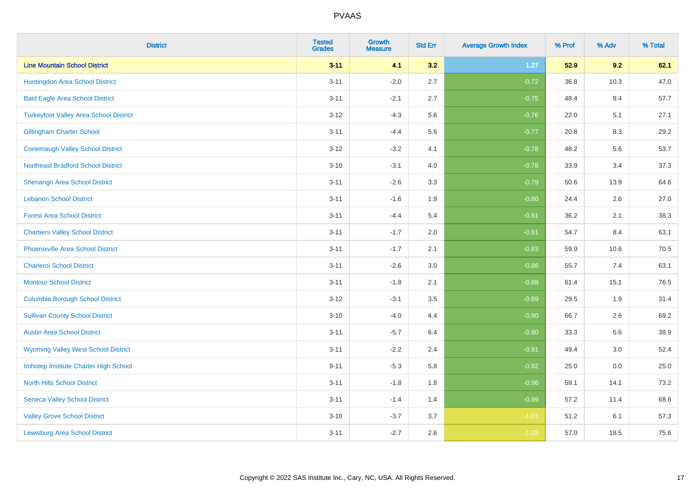| <b>District</b>                               | <b>Tested</b><br><b>Grades</b> | <b>Growth</b><br><b>Measure</b> | <b>Std Err</b> | <b>Average Growth Index</b> | % Prof | % Adv | % Total |
|-----------------------------------------------|--------------------------------|---------------------------------|----------------|-----------------------------|--------|-------|---------|
| <b>Line Mountain School District</b>          | $3 - 11$                       | 4.1                             | 3.2            | $1.27$                      | 52.9   | 9.2   | 62.1    |
| Huntingdon Area School District               | $3 - 11$                       | $-2.0$                          | 2.7            | $-0.72$                     | 36.8   | 10.3  | 47.0    |
| <b>Bald Eagle Area School District</b>        | $3 - 11$                       | $-2.1$                          | 2.7            | $-0.75$                     | 48.4   | 9.4   | 57.7    |
| <b>Turkeyfoot Valley Area School District</b> | $3 - 12$                       | $-4.3$                          | 5.6            | $-0.76$                     | 22.0   | 5.1   | 27.1    |
| <b>Gillingham Charter School</b>              | $3 - 11$                       | $-4.4$                          | 5.6            | $-0.77$                     | 20.8   | 8.3   | 29.2    |
| <b>Conemaugh Valley School District</b>       | $3 - 12$                       | $-3.2$                          | 4.1            | $-0.78$                     | 48.2   | 5.6   | 53.7    |
| <b>Northeast Bradford School District</b>     | $3 - 10$                       | $-3.1$                          | 4.0            | $-0.78$                     | 33.9   | 3.4   | 37.3    |
| Shenango Area School District                 | $3 - 11$                       | $-2.6$                          | 3.3            | $-0.79$                     | 50.6   | 13.9  | 64.6    |
| <b>Lebanon School District</b>                | $3 - 11$                       | $-1.6$                          | 1.9            | $-0.80$                     | 24.4   | 2.6   | 27.0    |
| <b>Forest Area School District</b>            | $3 - 11$                       | $-4.4$                          | 5.4            | $-0.81$                     | 36.2   | 2.1   | 38.3    |
| <b>Chartiers Valley School District</b>       | $3 - 11$                       | $-1.7$                          | 2.0            | $-0.81$                     | 54.7   | 8.4   | 63.1    |
| <b>Phoenixville Area School District</b>      | $3 - 11$                       | $-1.7$                          | 2.1            | $-0.83$                     | 59.9   | 10.6  | 70.5    |
| <b>Charleroi School District</b>              | $3 - 11$                       | $-2.6$                          | 3.0            | $-0.86$                     | 55.7   | 7.4   | 63.1    |
| <b>Montour School District</b>                | $3 - 11$                       | $-1.8$                          | 2.1            | $-0.88$                     | 61.4   | 15.1  | 76.5    |
| <b>Columbia Borough School District</b>       | $3 - 12$                       | $-3.1$                          | 3.5            | $-0.89$                     | 29.5   | 1.9   | 31.4    |
| <b>Sullivan County School District</b>        | $3 - 10$                       | $-4.0$                          | 4.4            | $-0.90$                     | 66.7   | 2.6   | 69.2    |
| <b>Austin Area School District</b>            | $3 - 11$                       | $-5.7$                          | 6.4            | $-0.90$                     | 33.3   | 5.6   | 38.9    |
| <b>Wyoming Valley West School District</b>    | $3 - 11$                       | $-2.2$                          | 2.4            | $-0.91$                     | 49.4   | 3.0   | 52.4    |
| Imhotep Institute Charter High School         | $9 - 11$                       | $-5.3$                          | 5.8            | $-0.92$                     | 25.0   | 0.0   | 25.0    |
| <b>North Hills School District</b>            | $3 - 11$                       | $-1.8$                          | 1.8            | $-0.96$                     | 59.1   | 14.1  | 73.2    |
| <b>Seneca Valley School District</b>          | $3 - 11$                       | $-1.4$                          | 1.4            | $-0.99$                     | 57.2   | 11.4  | 68.6    |
| <b>Valley Grove School District</b>           | $3 - 10$                       | $-3.7$                          | 3.7            | $-1.01$                     | 51.2   | 6.1   | 57.3    |
| <b>Lewisburg Area School District</b>         | $3 - 11$                       | $-2.7$                          | 2.6            | $-1.03$                     | 57.0   | 18.5  | 75.6    |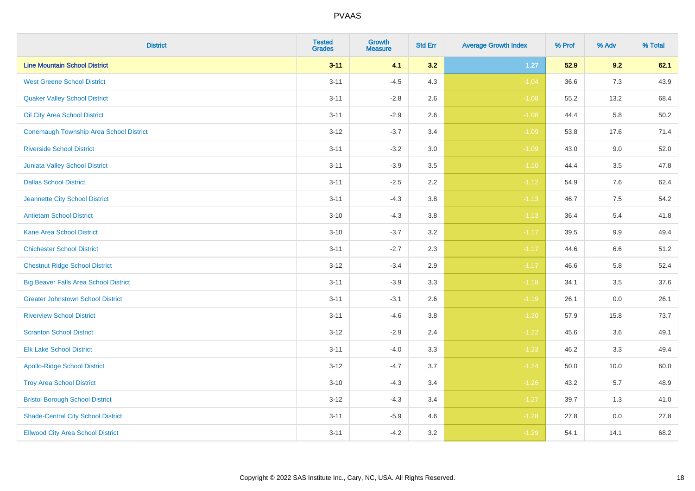| <b>District</b>                              | <b>Tested</b><br><b>Grades</b> | <b>Growth</b><br><b>Measure</b> | <b>Std Err</b> | <b>Average Growth Index</b> | % Prof | % Adv | % Total |
|----------------------------------------------|--------------------------------|---------------------------------|----------------|-----------------------------|--------|-------|---------|
| <b>Line Mountain School District</b>         | $3 - 11$                       | 4.1                             | 3.2            | $1.27$                      | 52.9   | 9.2   | 62.1    |
| <b>West Greene School District</b>           | $3 - 11$                       | $-4.5$                          | 4.3            | $-1.04$                     | 36.6   | 7.3   | 43.9    |
| <b>Quaker Valley School District</b>         | $3 - 11$                       | $-2.8$                          | 2.6            | $-1.08$                     | 55.2   | 13.2  | 68.4    |
| Oil City Area School District                | $3 - 11$                       | $-2.9$                          | 2.6            | $-1.08$                     | 44.4   | 5.8   | 50.2    |
| Conemaugh Township Area School District      | $3 - 12$                       | $-3.7$                          | 3.4            | $-1.09$                     | 53.8   | 17.6  | 71.4    |
| <b>Riverside School District</b>             | $3 - 11$                       | $-3.2$                          | 3.0            | $-1.09$                     | 43.0   | 9.0   | 52.0    |
| Juniata Valley School District               | $3 - 11$                       | $-3.9$                          | 3.5            | $-1.10$                     | 44.4   | 3.5   | 47.8    |
| <b>Dallas School District</b>                | $3 - 11$                       | $-2.5$                          | 2.2            | $-1.12$                     | 54.9   | 7.6   | 62.4    |
| Jeannette City School District               | $3 - 11$                       | $-4.3$                          | 3.8            | $-1.13$                     | 46.7   | 7.5   | 54.2    |
| <b>Antietam School District</b>              | $3 - 10$                       | $-4.3$                          | 3.8            | $-1.13$                     | 36.4   | 5.4   | 41.8    |
| <b>Kane Area School District</b>             | $3 - 10$                       | $-3.7$                          | 3.2            | $-1.17$                     | 39.5   | 9.9   | 49.4    |
| <b>Chichester School District</b>            | $3 - 11$                       | $-2.7$                          | 2.3            | $-1.17$                     | 44.6   | 6.6   | 51.2    |
| <b>Chestnut Ridge School District</b>        | $3 - 12$                       | $-3.4$                          | 2.9            | $-1.17$                     | 46.6   | 5.8   | 52.4    |
| <b>Big Beaver Falls Area School District</b> | $3 - 11$                       | $-3.9$                          | 3.3            | $-1.18$                     | 34.1   | 3.5   | 37.6    |
| <b>Greater Johnstown School District</b>     | $3 - 11$                       | $-3.1$                          | 2.6            | $-1.19$                     | 26.1   | 0.0   | 26.1    |
| <b>Riverview School District</b>             | $3 - 11$                       | $-4.6$                          | 3.8            | $-1.20$                     | 57.9   | 15.8  | 73.7    |
| <b>Scranton School District</b>              | $3 - 12$                       | $-2.9$                          | 2.4            | $-1.22$                     | 45.6   | 3.6   | 49.1    |
| <b>Elk Lake School District</b>              | $3 - 11$                       | $-4.0$                          | 3.3            | $-1.23$                     | 46.2   | 3.3   | 49.4    |
| <b>Apollo-Ridge School District</b>          | $3 - 12$                       | $-4.7$                          | 3.7            | $-1.24$                     | 50.0   | 10.0  | 60.0    |
| <b>Troy Area School District</b>             | $3 - 10$                       | $-4.3$                          | 3.4            | $-1.26$                     | 43.2   | 5.7   | 48.9    |
| <b>Bristol Borough School District</b>       | $3 - 12$                       | $-4.3$                          | 3.4            | $-1.27$                     | 39.7   | 1.3   | 41.0    |
| <b>Shade-Central City School District</b>    | $3 - 11$                       | $-5.9$                          | 4.6            | $-1.28$                     | 27.8   | 0.0   | 27.8    |
| <b>Ellwood City Area School District</b>     | $3 - 11$                       | $-4.2$                          | 3.2            | $-1.29$                     | 54.1   | 14.1  | 68.2    |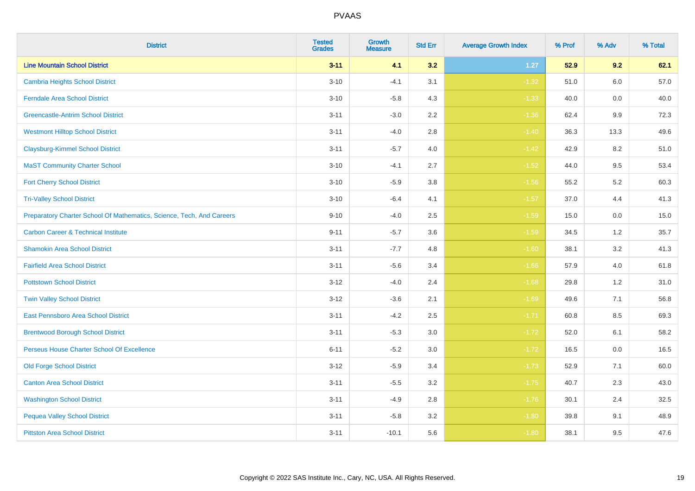| <b>District</b>                                                       | <b>Tested</b><br><b>Grades</b> | <b>Growth</b><br><b>Measure</b> | <b>Std Err</b> | <b>Average Growth Index</b> | % Prof | % Adv | % Total |
|-----------------------------------------------------------------------|--------------------------------|---------------------------------|----------------|-----------------------------|--------|-------|---------|
| <b>Line Mountain School District</b>                                  | $3 - 11$                       | 4.1                             | 3.2            | $1.27$                      | 52.9   | 9.2   | 62.1    |
| <b>Cambria Heights School District</b>                                | $3 - 10$                       | $-4.1$                          | 3.1            | $-1.32$                     | 51.0   | 6.0   | 57.0    |
| <b>Ferndale Area School District</b>                                  | $3 - 10$                       | $-5.8$                          | 4.3            | $-1.33$                     | 40.0   | 0.0   | 40.0    |
| <b>Greencastle-Antrim School District</b>                             | $3 - 11$                       | $-3.0$                          | 2.2            | $-1.36$                     | 62.4   | 9.9   | 72.3    |
| <b>Westmont Hilltop School District</b>                               | $3 - 11$                       | $-4.0$                          | 2.8            | $-1.40$                     | 36.3   | 13.3  | 49.6    |
| <b>Claysburg-Kimmel School District</b>                               | $3 - 11$                       | $-5.7$                          | 4.0            | $-1.42$                     | 42.9   | 8.2   | 51.0    |
| <b>MaST Community Charter School</b>                                  | $3 - 10$                       | $-4.1$                          | 2.7            | $-1.52$                     | 44.0   | 9.5   | 53.4    |
| <b>Fort Cherry School District</b>                                    | $3 - 10$                       | $-5.9$                          | 3.8            | $-1.56$                     | 55.2   | 5.2   | 60.3    |
| <b>Tri-Valley School District</b>                                     | $3 - 10$                       | $-6.4$                          | 4.1            | $-1.57$                     | 37.0   | 4.4   | 41.3    |
| Preparatory Charter School Of Mathematics, Science, Tech, And Careers | $9 - 10$                       | $-4.0$                          | 2.5            | $-1.59$                     | 15.0   | 0.0   | 15.0    |
| <b>Carbon Career &amp; Technical Institute</b>                        | $9 - 11$                       | $-5.7$                          | 3.6            | $-1.59$                     | 34.5   | $1.2$ | 35.7    |
| <b>Shamokin Area School District</b>                                  | $3 - 11$                       | $-7.7$                          | 4.8            | $-1.60$                     | 38.1   | 3.2   | 41.3    |
| <b>Fairfield Area School District</b>                                 | $3 - 11$                       | $-5.6$                          | 3.4            | $-1.66$                     | 57.9   | 4.0   | 61.8    |
| <b>Pottstown School District</b>                                      | $3 - 12$                       | $-4.0$                          | 2.4            | $-1.68$                     | 29.8   | 1.2   | 31.0    |
| <b>Twin Valley School District</b>                                    | $3 - 12$                       | $-3.6$                          | 2.1            | $-1.69$                     | 49.6   | 7.1   | 56.8    |
| <b>East Pennsboro Area School District</b>                            | $3 - 11$                       | $-4.2$                          | 2.5            | $-1.71$                     | 60.8   | 8.5   | 69.3    |
| <b>Brentwood Borough School District</b>                              | $3 - 11$                       | $-5.3$                          | 3.0            | $-1.72$                     | 52.0   | 6.1   | 58.2    |
| Perseus House Charter School Of Excellence                            | $6 - 11$                       | $-5.2$                          | 3.0            | $-1.72$                     | 16.5   | 0.0   | 16.5    |
| <b>Old Forge School District</b>                                      | $3 - 12$                       | $-5.9$                          | 3.4            | $-1.73$                     | 52.9   | 7.1   | 60.0    |
| <b>Canton Area School District</b>                                    | $3 - 11$                       | $-5.5$                          | 3.2            | $-1.75$                     | 40.7   | 2.3   | 43.0    |
| <b>Washington School District</b>                                     | $3 - 11$                       | $-4.9$                          | 2.8            | $-1.76$                     | 30.1   | 2.4   | 32.5    |
| <b>Pequea Valley School District</b>                                  | $3 - 11$                       | $-5.8$                          | 3.2            | $-1.80$                     | 39.8   | 9.1   | 48.9    |
| <b>Pittston Area School District</b>                                  | $3 - 11$                       | $-10.1$                         | 5.6            | $-1.80$                     | 38.1   | 9.5   | 47.6    |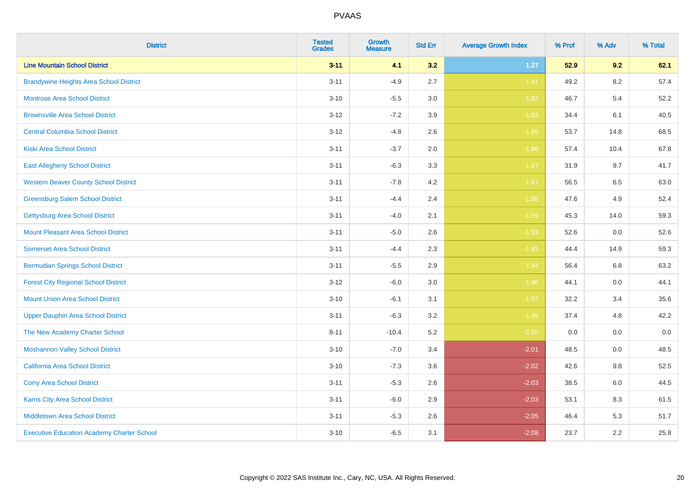| <b>District</b>                                   | <b>Tested</b><br><b>Grades</b> | <b>Growth</b><br><b>Measure</b> | <b>Std Err</b> | <b>Average Growth Index</b> | % Prof | % Adv   | % Total |
|---------------------------------------------------|--------------------------------|---------------------------------|----------------|-----------------------------|--------|---------|---------|
| <b>Line Mountain School District</b>              | $3 - 11$                       | 4.1                             | 3.2            | $1.27$                      | 52.9   | 9.2     | 62.1    |
| <b>Brandywine Heights Area School District</b>    | $3 - 11$                       | $-4.9$                          | 2.7            | $-1.81$                     | 49.2   | $8.2\,$ | 57.4    |
| <b>Montrose Area School District</b>              | $3 - 10$                       | $-5.5$                          | 3.0            | $-1.82$                     | 46.7   | 5.4     | 52.2    |
| <b>Brownsville Area School District</b>           | $3-12$                         | $-7.2$                          | 3.9            | $-1.83$                     | 34.4   | 6.1     | 40.5    |
| <b>Central Columbia School District</b>           | $3 - 12$                       | $-4.8$                          | 2.6            | $-1.86$                     | 53.7   | 14.8    | 68.5    |
| <b>Kiski Area School District</b>                 | $3 - 11$                       | $-3.7$                          | 2.0            | $-1.86$                     | 57.4   | 10.4    | 67.8    |
| <b>East Allegheny School District</b>             | $3 - 11$                       | $-6.3$                          | 3.3            | $-1.87$                     | 31.9   | 9.7     | 41.7    |
| <b>Western Beaver County School District</b>      | $3 - 11$                       | $-7.8$                          | 4.2            | $-1.87$                     | 56.5   | 6.5     | 63.0    |
| <b>Greensburg Salem School District</b>           | $3 - 11$                       | $-4.4$                          | 2.4            | $-1.88$                     | 47.6   | 4.9     | 52.4    |
| Gettysburg Area School District                   | $3 - 11$                       | $-4.0$                          | 2.1            | $-1.89$                     | 45.3   | 14.0    | 59.3    |
| <b>Mount Pleasant Area School District</b>        | $3 - 11$                       | $-5.0$                          | 2.6            | $-1.93$                     | 52.6   | 0.0     | 52.6    |
| <b>Somerset Area School District</b>              | $3 - 11$                       | $-4.4$                          | 2.3            | $-1.93$                     | 44.4   | 14.9    | 59.3    |
| <b>Bermudian Springs School District</b>          | $3 - 11$                       | $-5.5$                          | 2.9            | $-1.94$                     | 56.4   | $6.8\,$ | 63.2    |
| <b>Forest City Regional School District</b>       | $3-12$                         | $-6.0$                          | 3.0            | $-1.96$                     | 44.1   | 0.0     | 44.1    |
| <b>Mount Union Area School District</b>           | $3 - 10$                       | $-6.1$                          | 3.1            | $-1.97$                     | 32.2   | 3.4     | 35.6    |
| <b>Upper Dauphin Area School District</b>         | $3 - 11$                       | $-6.3$                          | 3.2            | $-1.98$                     | 37.4   | 4.8     | 42.2    |
| The New Academy Charter School                    | $8 - 11$                       | $-10.4$                         | 5.2            | $-2.00$                     | 0.0    | 0.0     | 0.0     |
| <b>Moshannon Valley School District</b>           | $3 - 10$                       | $-7.0$                          | 3.4            | $-2.01$                     | 48.5   | 0.0     | 48.5    |
| <b>California Area School District</b>            | $3 - 10$                       | $-7.3$                          | 3.6            | $-2.02$                     | 42.6   | 9.8     | 52.5    |
| <b>Corry Area School District</b>                 | $3 - 11$                       | $-5.3$                          | 2.6            | $-2.03$                     | 38.5   | $6.0\,$ | 44.5    |
| Karns City Area School District                   | $3 - 11$                       | $-6.0$                          | 2.9            | $-2.03$                     | 53.1   | 8.3     | 61.5    |
| <b>Middletown Area School District</b>            | $3 - 11$                       | $-5.3$                          | 2.6            | $-2.05$                     | 46.4   | 5.3     | 51.7    |
| <b>Executive Education Academy Charter School</b> | $3 - 10$                       | $-6.5$                          | 3.1            | $-2.08$                     | 23.7   | 2.2     | 25.8    |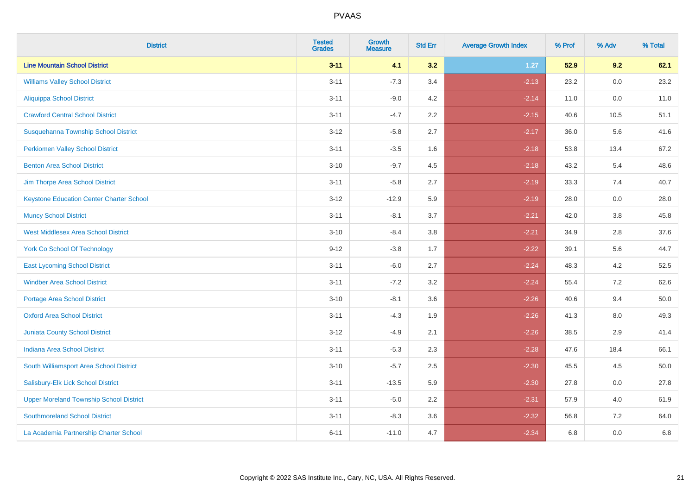| <b>District</b>                                 | <b>Tested</b><br><b>Grades</b> | <b>Growth</b><br><b>Measure</b> | <b>Std Err</b> | <b>Average Growth Index</b> | % Prof | % Adv   | % Total |
|-------------------------------------------------|--------------------------------|---------------------------------|----------------|-----------------------------|--------|---------|---------|
| <b>Line Mountain School District</b>            | $3 - 11$                       | 4.1                             | 3.2            | $1.27$                      | 52.9   | 9.2     | 62.1    |
| <b>Williams Valley School District</b>          | $3 - 11$                       | $-7.3$                          | 3.4            | $-2.13$                     | 23.2   | 0.0     | 23.2    |
| <b>Aliquippa School District</b>                | $3 - 11$                       | $-9.0$                          | 4.2            | $-2.14$                     | 11.0   | 0.0     | 11.0    |
| <b>Crawford Central School District</b>         | $3 - 11$                       | $-4.7$                          | 2.2            | $-2.15$                     | 40.6   | 10.5    | 51.1    |
| Susquehanna Township School District            | $3 - 12$                       | $-5.8$                          | 2.7            | $-2.17$                     | 36.0   | 5.6     | 41.6    |
| <b>Perkiomen Valley School District</b>         | $3 - 11$                       | $-3.5$                          | 1.6            | $-2.18$                     | 53.8   | 13.4    | 67.2    |
| <b>Benton Area School District</b>              | $3 - 10$                       | $-9.7$                          | 4.5            | $-2.18$                     | 43.2   | 5.4     | 48.6    |
| Jim Thorpe Area School District                 | $3 - 11$                       | $-5.8$                          | 2.7            | $-2.19$                     | 33.3   | 7.4     | 40.7    |
| <b>Keystone Education Center Charter School</b> | $3 - 12$                       | $-12.9$                         | 5.9            | $-2.19$                     | 28.0   | 0.0     | 28.0    |
| <b>Muncy School District</b>                    | $3 - 11$                       | $-8.1$                          | 3.7            | $-2.21$                     | 42.0   | 3.8     | 45.8    |
| <b>West Middlesex Area School District</b>      | $3 - 10$                       | $-8.4$                          | 3.8            | $-2.21$                     | 34.9   | 2.8     | 37.6    |
| <b>York Co School Of Technology</b>             | $9 - 12$                       | $-3.8$                          | 1.7            | $-2.22$                     | 39.1   | 5.6     | 44.7    |
| <b>East Lycoming School District</b>            | $3 - 11$                       | $-6.0$                          | 2.7            | $-2.24$                     | 48.3   | 4.2     | 52.5    |
| <b>Windber Area School District</b>             | $3 - 11$                       | $-7.2$                          | 3.2            | $-2.24$                     | 55.4   | 7.2     | 62.6    |
| <b>Portage Area School District</b>             | $3 - 10$                       | $-8.1$                          | 3.6            | $-2.26$                     | 40.6   | 9.4     | 50.0    |
| <b>Oxford Area School District</b>              | $3 - 11$                       | $-4.3$                          | 1.9            | $-2.26$                     | 41.3   | $8.0\,$ | 49.3    |
| <b>Juniata County School District</b>           | $3 - 12$                       | $-4.9$                          | 2.1            | $-2.26$                     | 38.5   | 2.9     | 41.4    |
| <b>Indiana Area School District</b>             | $3 - 11$                       | $-5.3$                          | 2.3            | $-2.28$                     | 47.6   | 18.4    | 66.1    |
| South Williamsport Area School District         | $3 - 10$                       | $-5.7$                          | 2.5            | $-2.30$                     | 45.5   | 4.5     | 50.0    |
| Salisbury-Elk Lick School District              | $3 - 11$                       | $-13.5$                         | 5.9            | $-2.30$                     | 27.8   | 0.0     | 27.8    |
| <b>Upper Moreland Township School District</b>  | $3 - 11$                       | $-5.0$                          | 2.2            | $-2.31$                     | 57.9   | 4.0     | 61.9    |
| <b>Southmoreland School District</b>            | $3 - 11$                       | $-8.3$                          | 3.6            | $-2.32$                     | 56.8   | 7.2     | 64.0    |
| La Academia Partnership Charter School          | $6 - 11$                       | $-11.0$                         | 4.7            | $-2.34$                     | 6.8    | 0.0     | 6.8     |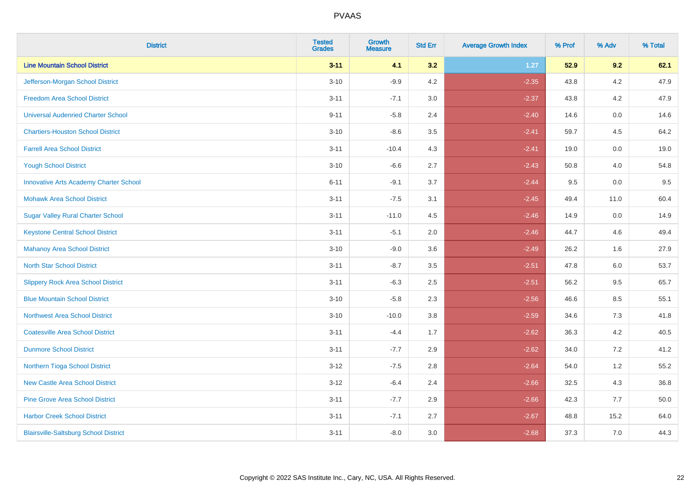| <b>District</b>                               | <b>Tested</b><br><b>Grades</b> | Growth<br><b>Measure</b> | <b>Std Err</b> | <b>Average Growth Index</b> | % Prof | % Adv   | % Total |
|-----------------------------------------------|--------------------------------|--------------------------|----------------|-----------------------------|--------|---------|---------|
| <b>Line Mountain School District</b>          | $3 - 11$                       | 4.1                      | 3.2            | $1.27$                      | 52.9   | 9.2     | 62.1    |
| Jefferson-Morgan School District              | $3 - 10$                       | $-9.9$                   | 4.2            | $-2.35$                     | 43.8   | 4.2     | 47.9    |
| <b>Freedom Area School District</b>           | $3 - 11$                       | $-7.1$                   | 3.0            | $-2.37$                     | 43.8   | 4.2     | 47.9    |
| <b>Universal Audenried Charter School</b>     | $9 - 11$                       | $-5.8$                   | 2.4            | $-2.40$                     | 14.6   | 0.0     | 14.6    |
| <b>Chartiers-Houston School District</b>      | $3 - 10$                       | $-8.6$                   | 3.5            | $-2.41$                     | 59.7   | 4.5     | 64.2    |
| <b>Farrell Area School District</b>           | $3 - 11$                       | $-10.4$                  | 4.3            | $-2.41$                     | 19.0   | 0.0     | 19.0    |
| <b>Yough School District</b>                  | $3 - 10$                       | $-6.6$                   | 2.7            | $-2.43$                     | 50.8   | 4.0     | 54.8    |
| <b>Innovative Arts Academy Charter School</b> | $6 - 11$                       | $-9.1$                   | 3.7            | $-2.44$                     | 9.5    | 0.0     | 9.5     |
| <b>Mohawk Area School District</b>            | $3 - 11$                       | $-7.5$                   | 3.1            | $-2.45$                     | 49.4   | 11.0    | 60.4    |
| <b>Sugar Valley Rural Charter School</b>      | $3 - 11$                       | $-11.0$                  | 4.5            | $-2.46$                     | 14.9   | 0.0     | 14.9    |
| <b>Keystone Central School District</b>       | $3 - 11$                       | $-5.1$                   | 2.0            | $-2.46$                     | 44.7   | 4.6     | 49.4    |
| <b>Mahanoy Area School District</b>           | $3 - 10$                       | $-9.0$                   | 3.6            | $-2.49$                     | 26.2   | 1.6     | 27.9    |
| <b>North Star School District</b>             | $3 - 11$                       | $-8.7$                   | 3.5            | $-2.51$                     | 47.8   | $6.0\,$ | 53.7    |
| <b>Slippery Rock Area School District</b>     | $3 - 11$                       | $-6.3$                   | 2.5            | $-2.51$                     | 56.2   | 9.5     | 65.7    |
| <b>Blue Mountain School District</b>          | $3 - 10$                       | $-5.8$                   | 2.3            | $-2.56$                     | 46.6   | 8.5     | 55.1    |
| <b>Northwest Area School District</b>         | $3 - 10$                       | $-10.0$                  | 3.8            | $-2.59$                     | 34.6   | 7.3     | 41.8    |
| <b>Coatesville Area School District</b>       | $3 - 11$                       | $-4.4$                   | 1.7            | $-2.62$                     | 36.3   | 4.2     | 40.5    |
| <b>Dunmore School District</b>                | $3 - 11$                       | $-7.7$                   | 2.9            | $-2.62$                     | 34.0   | 7.2     | 41.2    |
| Northern Tioga School District                | $3 - 12$                       | $-7.5$                   | 2.8            | $-2.64$                     | 54.0   | 1.2     | 55.2    |
| <b>New Castle Area School District</b>        | $3 - 12$                       | $-6.4$                   | 2.4            | $-2.66$                     | 32.5   | 4.3     | 36.8    |
| <b>Pine Grove Area School District</b>        | $3 - 11$                       | $-7.7$                   | 2.9            | $-2.66$                     | 42.3   | 7.7     | 50.0    |
| <b>Harbor Creek School District</b>           | $3 - 11$                       | $-7.1$                   | 2.7            | $-2.67$                     | 48.8   | 15.2    | 64.0    |
| <b>Blairsville-Saltsburg School District</b>  | $3 - 11$                       | $-8.0$                   | 3.0            | $-2.68$                     | 37.3   | 7.0     | 44.3    |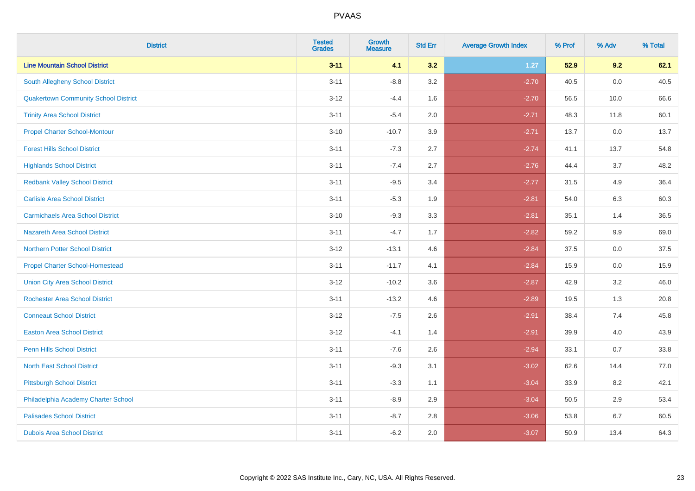| <b>District</b>                             | <b>Tested</b><br><b>Grades</b> | <b>Growth</b><br><b>Measure</b> | <b>Std Err</b> | <b>Average Growth Index</b> | % Prof | % Adv | % Total |
|---------------------------------------------|--------------------------------|---------------------------------|----------------|-----------------------------|--------|-------|---------|
| <b>Line Mountain School District</b>        | $3 - 11$                       | 4.1                             | 3.2            | $1.27$                      | 52.9   | 9.2   | 62.1    |
| South Allegheny School District             | $3 - 11$                       | $-8.8$                          | 3.2            | $-2.70$                     | 40.5   | 0.0   | 40.5    |
| <b>Quakertown Community School District</b> | $3 - 12$                       | $-4.4$                          | 1.6            | $-2.70$                     | 56.5   | 10.0  | 66.6    |
| <b>Trinity Area School District</b>         | $3 - 11$                       | $-5.4$                          | 2.0            | $-2.71$                     | 48.3   | 11.8  | 60.1    |
| <b>Propel Charter School-Montour</b>        | $3 - 10$                       | $-10.7$                         | 3.9            | $-2.71$                     | 13.7   | 0.0   | 13.7    |
| <b>Forest Hills School District</b>         | $3 - 11$                       | $-7.3$                          | 2.7            | $-2.74$                     | 41.1   | 13.7  | 54.8    |
| <b>Highlands School District</b>            | $3 - 11$                       | $-7.4$                          | 2.7            | $-2.76$                     | 44.4   | 3.7   | 48.2    |
| <b>Redbank Valley School District</b>       | $3 - 11$                       | $-9.5$                          | 3.4            | $-2.77$                     | 31.5   | 4.9   | 36.4    |
| <b>Carlisle Area School District</b>        | $3 - 11$                       | $-5.3$                          | 1.9            | $-2.81$                     | 54.0   | 6.3   | 60.3    |
| <b>Carmichaels Area School District</b>     | $3 - 10$                       | $-9.3$                          | 3.3            | $-2.81$                     | 35.1   | 1.4   | 36.5    |
| Nazareth Area School District               | $3 - 11$                       | $-4.7$                          | 1.7            | $-2.82$                     | 59.2   | 9.9   | 69.0    |
| <b>Northern Potter School District</b>      | $3 - 12$                       | $-13.1$                         | 4.6            | $-2.84$                     | 37.5   | 0.0   | 37.5    |
| <b>Propel Charter School-Homestead</b>      | $3 - 11$                       | $-11.7$                         | 4.1            | $-2.84$                     | 15.9   | 0.0   | 15.9    |
| <b>Union City Area School District</b>      | $3-12$                         | $-10.2$                         | 3.6            | $-2.87$                     | 42.9   | 3.2   | 46.0    |
| <b>Rochester Area School District</b>       | $3 - 11$                       | $-13.2$                         | 4.6            | $-2.89$                     | 19.5   | 1.3   | 20.8    |
| <b>Conneaut School District</b>             | $3 - 12$                       | $-7.5$                          | 2.6            | $-2.91$                     | 38.4   | 7.4   | 45.8    |
| <b>Easton Area School District</b>          | $3 - 12$                       | $-4.1$                          | 1.4            | $-2.91$                     | 39.9   | 4.0   | 43.9    |
| <b>Penn Hills School District</b>           | $3 - 11$                       | $-7.6$                          | 2.6            | $-2.94$                     | 33.1   | 0.7   | 33.8    |
| <b>North East School District</b>           | $3 - 11$                       | $-9.3$                          | 3.1            | $-3.02$                     | 62.6   | 14.4  | 77.0    |
| <b>Pittsburgh School District</b>           | $3 - 11$                       | $-3.3$                          | 1.1            | $-3.04$                     | 33.9   | 8.2   | 42.1    |
| Philadelphia Academy Charter School         | $3 - 11$                       | $-8.9$                          | 2.9            | $-3.04$                     | 50.5   | 2.9   | 53.4    |
| <b>Palisades School District</b>            | $3 - 11$                       | $-8.7$                          | 2.8            | $-3.06$                     | 53.8   | 6.7   | 60.5    |
| <b>Dubois Area School District</b>          | $3 - 11$                       | $-6.2$                          | 2.0            | $-3.07$                     | 50.9   | 13.4  | 64.3    |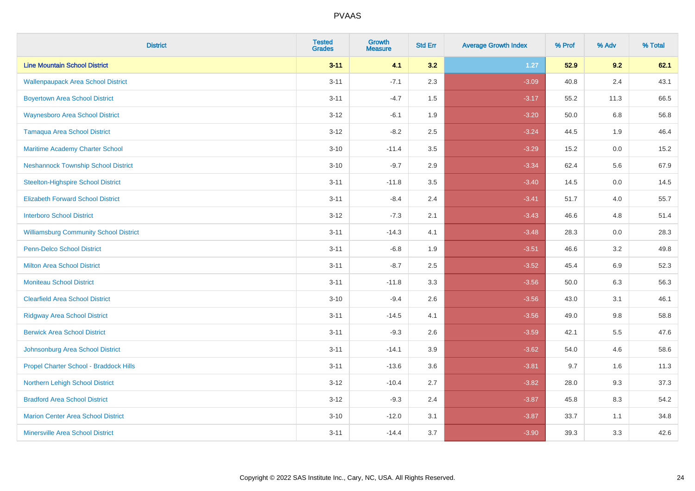| <b>District</b>                               | <b>Tested</b><br><b>Grades</b> | <b>Growth</b><br><b>Measure</b> | <b>Std Err</b> | <b>Average Growth Index</b> | % Prof | % Adv   | % Total |
|-----------------------------------------------|--------------------------------|---------------------------------|----------------|-----------------------------|--------|---------|---------|
| <b>Line Mountain School District</b>          | $3 - 11$                       | 4.1                             | 3.2            | $1.27$                      | 52.9   | 9.2     | 62.1    |
| <b>Wallenpaupack Area School District</b>     | $3 - 11$                       | $-7.1$                          | 2.3            | $-3.09$                     | 40.8   | $2.4\,$ | 43.1    |
| <b>Boyertown Area School District</b>         | $3 - 11$                       | $-4.7$                          | 1.5            | $-3.17$                     | 55.2   | 11.3    | 66.5    |
| <b>Waynesboro Area School District</b>        | $3 - 12$                       | $-6.1$                          | 1.9            | $-3.20$                     | 50.0   | 6.8     | 56.8    |
| <b>Tamaqua Area School District</b>           | $3 - 12$                       | $-8.2$                          | 2.5            | $-3.24$                     | 44.5   | 1.9     | 46.4    |
| Maritime Academy Charter School               | $3 - 10$                       | $-11.4$                         | 3.5            | $-3.29$                     | 15.2   | 0.0     | 15.2    |
| <b>Neshannock Township School District</b>    | $3 - 10$                       | $-9.7$                          | 2.9            | $-3.34$                     | 62.4   | 5.6     | 67.9    |
| <b>Steelton-Highspire School District</b>     | $3 - 11$                       | $-11.8$                         | 3.5            | $-3.40$                     | 14.5   | 0.0     | 14.5    |
| <b>Elizabeth Forward School District</b>      | $3 - 11$                       | $-8.4$                          | 2.4            | $-3.41$                     | 51.7   | 4.0     | 55.7    |
| <b>Interboro School District</b>              | $3 - 12$                       | $-7.3$                          | 2.1            | $-3.43$                     | 46.6   | 4.8     | 51.4    |
| <b>Williamsburg Community School District</b> | $3 - 11$                       | $-14.3$                         | 4.1            | $-3.48$                     | 28.3   | 0.0     | 28.3    |
| Penn-Delco School District                    | $3 - 11$                       | $-6.8$                          | 1.9            | $-3.51$                     | 46.6   | 3.2     | 49.8    |
| <b>Milton Area School District</b>            | $3 - 11$                       | $-8.7$                          | 2.5            | $-3.52$                     | 45.4   | 6.9     | 52.3    |
| <b>Moniteau School District</b>               | $3 - 11$                       | $-11.8$                         | 3.3            | $-3.56$                     | 50.0   | 6.3     | 56.3    |
| <b>Clearfield Area School District</b>        | $3 - 10$                       | $-9.4$                          | 2.6            | $-3.56$                     | 43.0   | 3.1     | 46.1    |
| <b>Ridgway Area School District</b>           | $3 - 11$                       | $-14.5$                         | 4.1            | $-3.56$                     | 49.0   | $9.8\,$ | 58.8    |
| <b>Berwick Area School District</b>           | $3 - 11$                       | $-9.3$                          | 2.6            | $-3.59$                     | 42.1   | 5.5     | 47.6    |
| Johnsonburg Area School District              | $3 - 11$                       | $-14.1$                         | 3.9            | $-3.62$                     | 54.0   | 4.6     | 58.6    |
| Propel Charter School - Braddock Hills        | $3 - 11$                       | $-13.6$                         | 3.6            | $-3.81$                     | 9.7    | 1.6     | 11.3    |
| <b>Northern Lehigh School District</b>        | $3 - 12$                       | $-10.4$                         | 2.7            | $-3.82$                     | 28.0   | 9.3     | 37.3    |
| <b>Bradford Area School District</b>          | $3-12$                         | $-9.3$                          | 2.4            | $-3.87$                     | 45.8   | 8.3     | 54.2    |
| <b>Marion Center Area School District</b>     | $3 - 10$                       | $-12.0$                         | 3.1            | $-3.87$                     | 33.7   | 1.1     | 34.8    |
| <b>Minersville Area School District</b>       | $3 - 11$                       | $-14.4$                         | 3.7            | $-3.90$                     | 39.3   | 3.3     | 42.6    |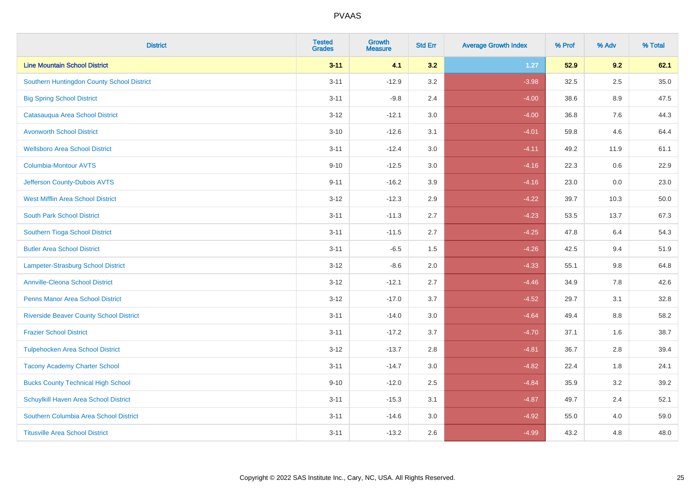| <b>District</b>                                | <b>Tested</b><br><b>Grades</b> | <b>Growth</b><br><b>Measure</b> | <b>Std Err</b> | <b>Average Growth Index</b> | % Prof | % Adv   | % Total |
|------------------------------------------------|--------------------------------|---------------------------------|----------------|-----------------------------|--------|---------|---------|
| <b>Line Mountain School District</b>           | $3 - 11$                       | 4.1                             | 3.2            | $1.27$                      | 52.9   | 9.2     | 62.1    |
| Southern Huntingdon County School District     | $3 - 11$                       | $-12.9$                         | 3.2            | $-3.98$                     | 32.5   | $2.5\,$ | 35.0    |
| <b>Big Spring School District</b>              | $3 - 11$                       | $-9.8$                          | 2.4            | $-4.00$                     | 38.6   | 8.9     | 47.5    |
| Catasauqua Area School District                | $3 - 12$                       | $-12.1$                         | 3.0            | $-4.00$                     | 36.8   | 7.6     | 44.3    |
| <b>Avonworth School District</b>               | $3 - 10$                       | $-12.6$                         | 3.1            | $-4.01$                     | 59.8   | 4.6     | 64.4    |
| <b>Wellsboro Area School District</b>          | $3 - 11$                       | $-12.4$                         | 3.0            | $-4.11$                     | 49.2   | 11.9    | 61.1    |
| Columbia-Montour AVTS                          | $9 - 10$                       | $-12.5$                         | 3.0            | $-4.16$                     | 22.3   | 0.6     | 22.9    |
| Jefferson County-Dubois AVTS                   | $9 - 11$                       | $-16.2$                         | 3.9            | $-4.16$                     | 23.0   | 0.0     | 23.0    |
| <b>West Mifflin Area School District</b>       | $3 - 12$                       | $-12.3$                         | 2.9            | $-4.22$                     | 39.7   | 10.3    | 50.0    |
| <b>South Park School District</b>              | $3 - 11$                       | $-11.3$                         | 2.7            | $-4.23$                     | 53.5   | 13.7    | 67.3    |
| Southern Tioga School District                 | $3 - 11$                       | $-11.5$                         | 2.7            | $-4.25$                     | 47.8   | 6.4     | 54.3    |
| <b>Butler Area School District</b>             | $3 - 11$                       | $-6.5$                          | 1.5            | $-4.26$                     | 42.5   | 9.4     | 51.9    |
| Lampeter-Strasburg School District             | $3 - 12$                       | $-8.6$                          | 2.0            | $-4.33$                     | 55.1   | $9.8\,$ | 64.8    |
| <b>Annville-Cleona School District</b>         | $3 - 12$                       | $-12.1$                         | 2.7            | $-4.46$                     | 34.9   | 7.8     | 42.6    |
| <b>Penns Manor Area School District</b>        | $3 - 12$                       | $-17.0$                         | 3.7            | $-4.52$                     | 29.7   | 3.1     | 32.8    |
| <b>Riverside Beaver County School District</b> | $3 - 11$                       | $-14.0$                         | 3.0            | $-4.64$                     | 49.4   | $8.8\,$ | 58.2    |
| <b>Frazier School District</b>                 | $3 - 11$                       | $-17.2$                         | 3.7            | $-4.70$                     | 37.1   | 1.6     | 38.7    |
| <b>Tulpehocken Area School District</b>        | $3 - 12$                       | $-13.7$                         | 2.8            | $-4.81$                     | 36.7   | 2.8     | 39.4    |
| <b>Tacony Academy Charter School</b>           | $3 - 11$                       | $-14.7$                         | 3.0            | $-4.82$                     | 22.4   | 1.8     | 24.1    |
| <b>Bucks County Technical High School</b>      | $9 - 10$                       | $-12.0$                         | 2.5            | $-4.84$                     | 35.9   | 3.2     | 39.2    |
| Schuylkill Haven Area School District          | $3 - 11$                       | $-15.3$                         | 3.1            | $-4.87$                     | 49.7   | 2.4     | 52.1    |
| Southern Columbia Area School District         | $3 - 11$                       | $-14.6$                         | 3.0            | $-4.92$                     | 55.0   | 4.0     | 59.0    |
| <b>Titusville Area School District</b>         | $3 - 11$                       | $-13.2$                         | 2.6            | $-4.99$                     | 43.2   | 4.8     | 48.0    |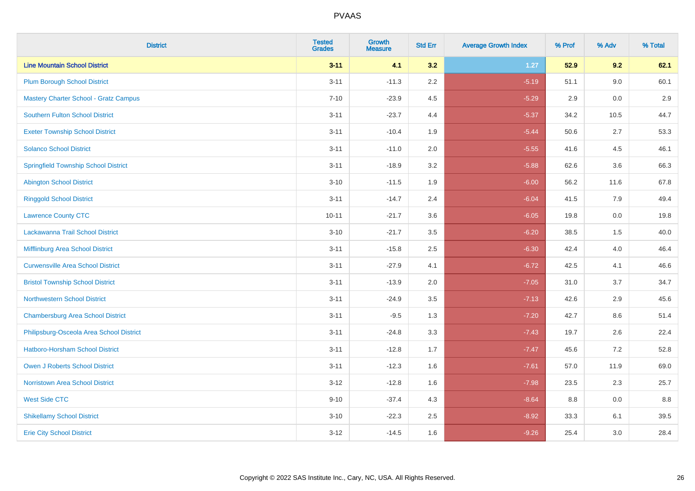| <b>District</b>                              | <b>Tested</b><br><b>Grades</b> | <b>Growth</b><br><b>Measure</b> | <b>Std Err</b> | <b>Average Growth Index</b> | % Prof | % Adv | % Total |
|----------------------------------------------|--------------------------------|---------------------------------|----------------|-----------------------------|--------|-------|---------|
| <b>Line Mountain School District</b>         | $3 - 11$                       | 4.1                             | 3.2            | $1.27$                      | 52.9   | 9.2   | 62.1    |
| <b>Plum Borough School District</b>          | $3 - 11$                       | $-11.3$                         | $2.2\,$        | $-5.19$                     | 51.1   | 9.0   | 60.1    |
| <b>Mastery Charter School - Gratz Campus</b> | $7 - 10$                       | $-23.9$                         | 4.5            | $-5.29$                     | 2.9    | 0.0   | 2.9     |
| Southern Fulton School District              | $3 - 11$                       | $-23.7$                         | 4.4            | $-5.37$                     | 34.2   | 10.5  | 44.7    |
| <b>Exeter Township School District</b>       | $3 - 11$                       | $-10.4$                         | 1.9            | $-5.44$                     | 50.6   | 2.7   | 53.3    |
| <b>Solanco School District</b>               | $3 - 11$                       | $-11.0$                         | 2.0            | $-5.55$                     | 41.6   | 4.5   | 46.1    |
| <b>Springfield Township School District</b>  | $3 - 11$                       | $-18.9$                         | 3.2            | $-5.88$                     | 62.6   | 3.6   | 66.3    |
| <b>Abington School District</b>              | $3 - 10$                       | $-11.5$                         | 1.9            | $-6.00$                     | 56.2   | 11.6  | 67.8    |
| <b>Ringgold School District</b>              | $3 - 11$                       | $-14.7$                         | 2.4            | $-6.04$                     | 41.5   | 7.9   | 49.4    |
| <b>Lawrence County CTC</b>                   | $10 - 11$                      | $-21.7$                         | 3.6            | $-6.05$                     | 19.8   | 0.0   | 19.8    |
| Lackawanna Trail School District             | $3 - 10$                       | $-21.7$                         | 3.5            | $-6.20$                     | 38.5   | 1.5   | 40.0    |
| Mifflinburg Area School District             | $3 - 11$                       | $-15.8$                         | 2.5            | $-6.30$                     | 42.4   | 4.0   | 46.4    |
| <b>Curwensville Area School District</b>     | $3 - 11$                       | $-27.9$                         | 4.1            | $-6.72$                     | 42.5   | 4.1   | 46.6    |
| <b>Bristol Township School District</b>      | $3 - 11$                       | $-13.9$                         | 2.0            | $-7.05$                     | 31.0   | 3.7   | 34.7    |
| <b>Northwestern School District</b>          | $3 - 11$                       | $-24.9$                         | 3.5            | $-7.13$                     | 42.6   | 2.9   | 45.6    |
| <b>Chambersburg Area School District</b>     | $3 - 11$                       | $-9.5$                          | 1.3            | $-7.20$                     | 42.7   | 8.6   | 51.4    |
| Philipsburg-Osceola Area School District     | $3 - 11$                       | $-24.8$                         | 3.3            | $-7.43$                     | 19.7   | 2.6   | 22.4    |
| Hatboro-Horsham School District              | $3 - 11$                       | $-12.8$                         | 1.7            | $-7.47$                     | 45.6   | 7.2   | 52.8    |
| <b>Owen J Roberts School District</b>        | $3 - 11$                       | $-12.3$                         | 1.6            | $-7.61$                     | 57.0   | 11.9  | 69.0    |
| <b>Norristown Area School District</b>       | $3 - 12$                       | $-12.8$                         | 1.6            | $-7.98$                     | 23.5   | 2.3   | 25.7    |
| <b>West Side CTC</b>                         | $9 - 10$                       | $-37.4$                         | 4.3            | $-8.64$                     | 8.8    | 0.0   | 8.8     |
| <b>Shikellamy School District</b>            | $3 - 10$                       | $-22.3$                         | 2.5            | $-8.92$                     | 33.3   | 6.1   | 39.5    |
| <b>Erie City School District</b>             | $3 - 12$                       | $-14.5$                         | 1.6            | $-9.26$                     | 25.4   | 3.0   | 28.4    |